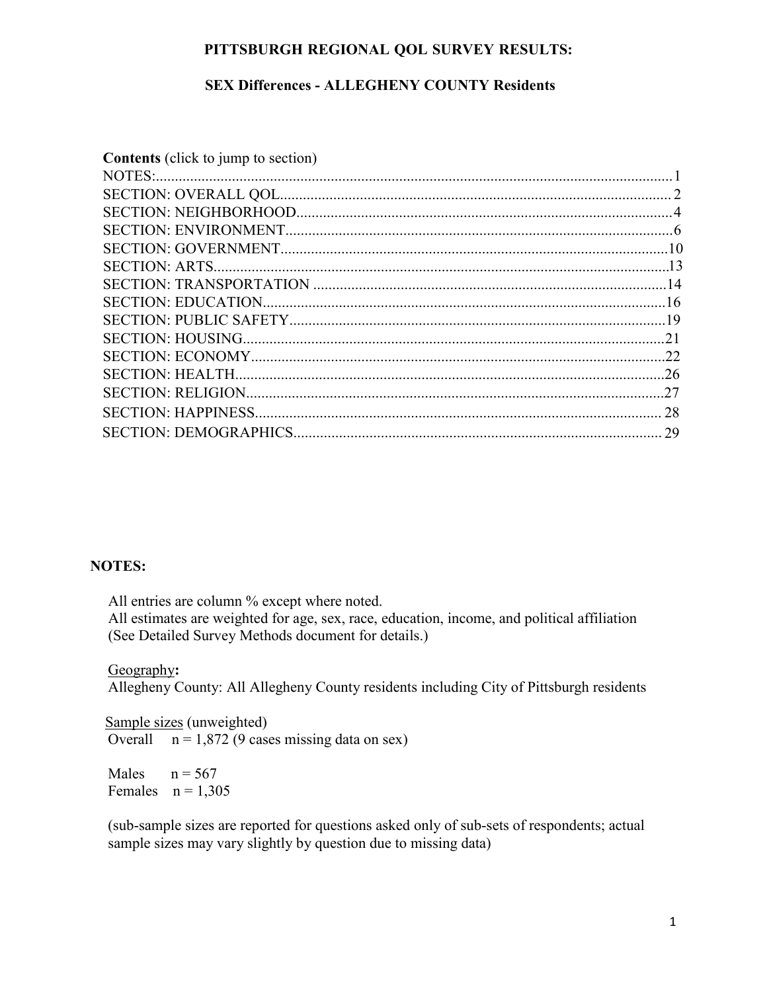#### **PITTSBURGH REGIONAL QOL SURVEY RESULTS:**

### **SEX Differences - ALLEGHENY COUNTY Residents**

| <b>Contents</b> (click to jump to section) |  |
|--------------------------------------------|--|
|                                            |  |
|                                            |  |
|                                            |  |
|                                            |  |
|                                            |  |
|                                            |  |
|                                            |  |
|                                            |  |
|                                            |  |
|                                            |  |
|                                            |  |
|                                            |  |
|                                            |  |
|                                            |  |
|                                            |  |
|                                            |  |

#### **NOTES:**

All entries are column % except where noted.

All estimates are weighted for age, sex, race, education, income, and political affiliation (See Detailed Survey Methods document for details.)

#### Geography**:**

Allegheny County: All Allegheny County residents including City of Pittsburgh residents

**Sample sizes (unweighted)** Overall  $n = 1,872$  (9 cases missing data on sex)

Males  $n = 567$ Females  $n = 1,305$ 

(sub-sample sizes are reported for questions asked only of sub-sets of respondents; actual sample sizes may vary slightly by question due to missing data)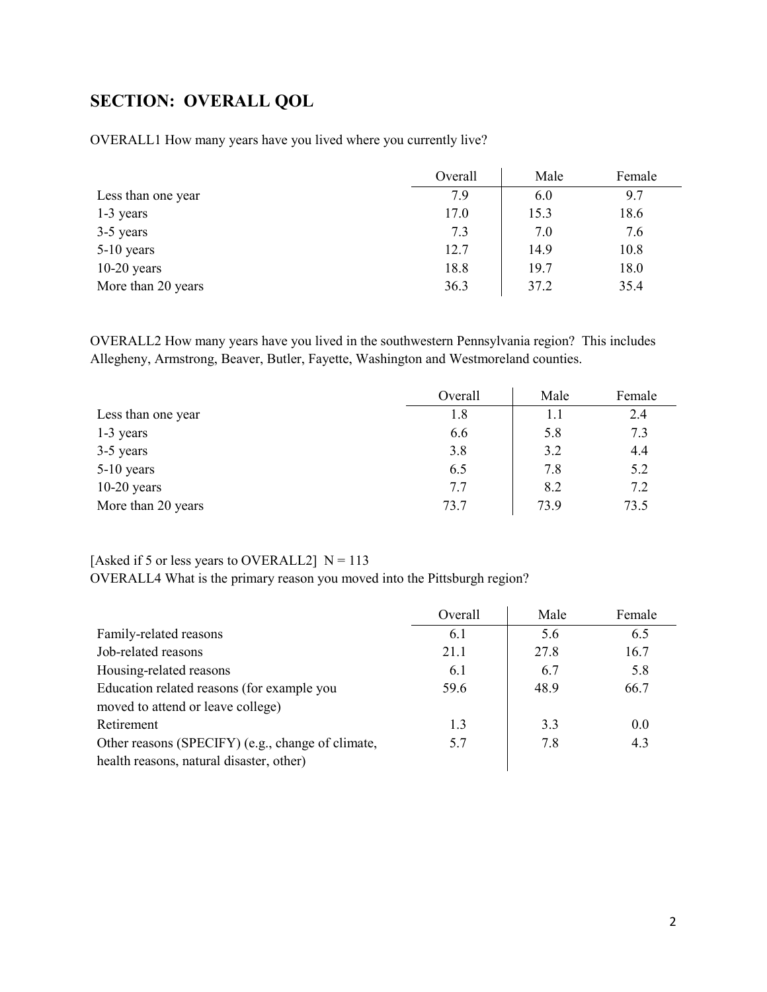# <span id="page-1-0"></span>**SECTION: OVERALL QOL**

OVERALL1 How many years have you lived where you currently live?

|                    | Overall | Male | Female |
|--------------------|---------|------|--------|
| Less than one year | 7.9     | 6.0  | 9.7    |
| 1-3 years          | 17.0    | 15.3 | 18.6   |
| 3-5 years          | 7.3     | 7.0  | 7.6    |
| $5-10$ years       | 12.7    | 14.9 | 10.8   |
| $10-20$ years      | 18.8    | 19.7 | 18.0   |
| More than 20 years | 36.3    | 37.2 | 35.4   |

OVERALL2 How many years have you lived in the southwestern Pennsylvania region? This includes Allegheny, Armstrong, Beaver, Butler, Fayette, Washington and Westmoreland counties.

|                    | Overall | Male | Female |
|--------------------|---------|------|--------|
| Less than one year | 1.8     | 1.1  | 2.4    |
| 1-3 years          | 6.6     | 5.8  | 7.3    |
| 3-5 years          | 3.8     | 3.2  | 4.4    |
| 5-10 years         | 6.5     | 7.8  | 5.2    |
| $10-20$ years      | 7.7     | 8.2  | 7.2    |
| More than 20 years | 73.7    | 73.9 | 73.5   |

### [Asked if 5 or less years to OVERALL2]  $N = 113$

OVERALL4 What is the primary reason you moved into the Pittsburgh region?

|                                                   | Overall | Male | Female |
|---------------------------------------------------|---------|------|--------|
| Family-related reasons                            | 6.1     | 5.6  | 6.5    |
| Job-related reasons                               | 21.1    | 27.8 | 16.7   |
| Housing-related reasons                           | 6.1     | 6.7  | 5.8    |
| Education related reasons (for example you        | 59.6    | 48.9 | 66.7   |
| moved to attend or leave college)                 |         |      |        |
| Retirement                                        | 1.3     | 3.3  | 0.0    |
| Other reasons (SPECIFY) (e.g., change of climate, | 5.7     | 7.8  | 4.3    |
| health reasons, natural disaster, other)          |         |      |        |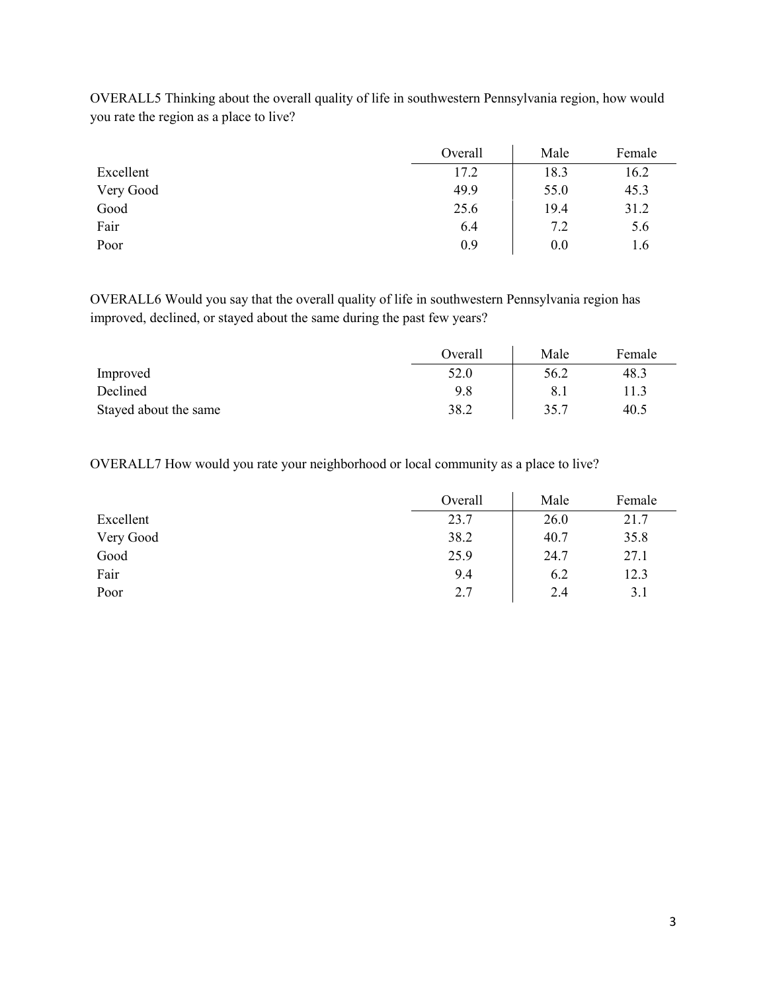|           | Overall | Male | Female |
|-----------|---------|------|--------|
| Excellent | 17.2    | 18.3 | 16.2   |
| Very Good | 49.9    | 55.0 | 45.3   |
| Good      | 25.6    | 19.4 | 31.2   |
| Fair      | 6.4     | 7.2  | 5.6    |
| Poor      | 0.9     | 0.0  | 1.6    |

OVERALL5 Thinking about the overall quality of life in southwestern Pennsylvania region, how would you rate the region as a place to live?

OVERALL6 Would you say that the overall quality of life in southwestern Pennsylvania region has improved, declined, or stayed about the same during the past few years?

|                       | Overall | Male | Female |
|-----------------------|---------|------|--------|
| Improved              | 52.0    | 56.2 | 48.3   |
| Declined              | 9.8     |      | 11.3   |
| Stayed about the same | 38.2    | 35.7 | 40.5   |

OVERALL7 How would you rate your neighborhood or local community as a place to live?

|           | Overall | Male | Female |
|-----------|---------|------|--------|
| Excellent | 23.7    | 26.0 | 21.7   |
| Very Good | 38.2    | 40.7 | 35.8   |
| Good      | 25.9    | 24.7 | 27.1   |
| Fair      | 9.4     | 6.2  | 12.3   |
| Poor      | 2.7     | 2.4  | 3.1    |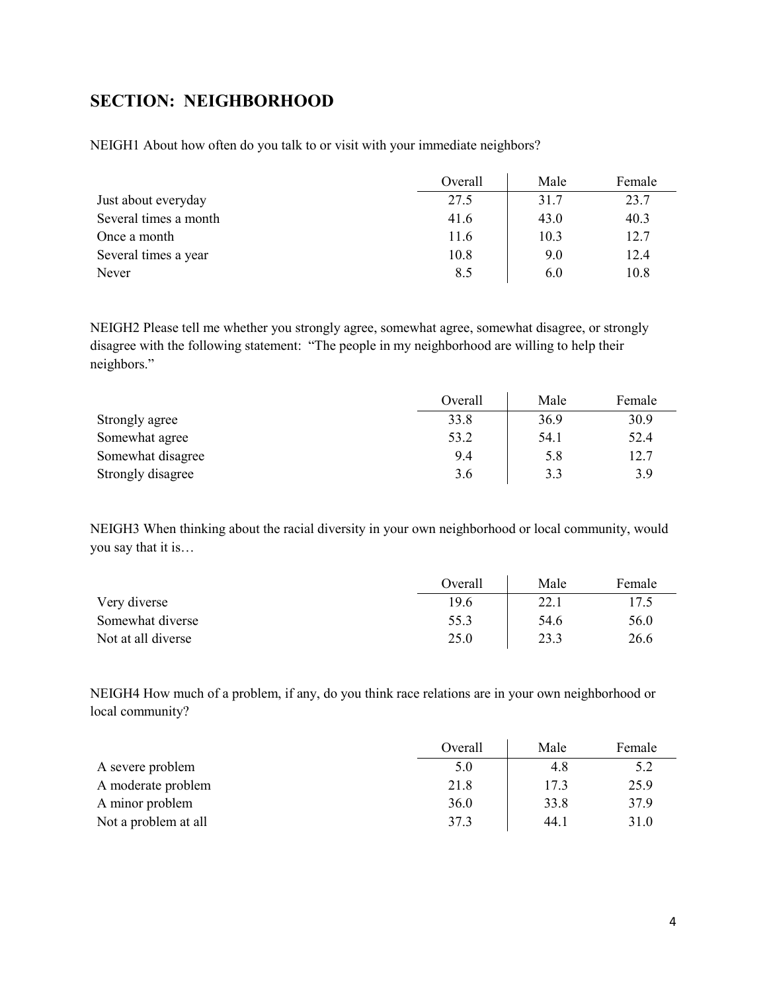## <span id="page-3-0"></span>**SECTION: NEIGHBORHOOD**

NEIGH1 About how often do you talk to or visit with your immediate neighbors?

|                       | Overall | Male | Female |
|-----------------------|---------|------|--------|
| Just about everyday   | 27.5    | 31.7 | 23.7   |
| Several times a month | 41.6    | 43.0 | 40.3   |
| Once a month          | 11.6    | 10.3 | 12.7   |
| Several times a year  | 10.8    | 9.0  | 12.4   |
| Never                 | 8.5     | 6.0  | 10.8   |

NEIGH2 Please tell me whether you strongly agree, somewhat agree, somewhat disagree, or strongly disagree with the following statement: "The people in my neighborhood are willing to help their neighbors."

|                   | Overall | Male | Female |
|-------------------|---------|------|--------|
| Strongly agree    | 33.8    | 36.9 | 30.9   |
| Somewhat agree    | 53.2    | 54.1 | 52.4   |
| Somewhat disagree | 9.4     | 5.8  | 12.7   |
| Strongly disagree | 3.6     | 3.3  | 3.9    |

NEIGH3 When thinking about the racial diversity in your own neighborhood or local community, would you say that it is…

|                    | Overall | Male | Female |
|--------------------|---------|------|--------|
| Very diverse       | 19.6    | 22.7 | 17.5   |
| Somewhat diverse   | 55.3    | 54.6 | 56.0   |
| Not at all diverse | 25.0    | 23.3 | 26.6   |

NEIGH4 How much of a problem, if any, do you think race relations are in your own neighborhood or local community?

|                      | Overall | Male | Female |
|----------------------|---------|------|--------|
| A severe problem     | 5.0     | 4.8  | 5.2    |
| A moderate problem   | 21.8    | 17.3 | 25.9   |
| A minor problem      | 36.0    | 33.8 | 37.9   |
| Not a problem at all | 37.3    | 44.1 | 31.0   |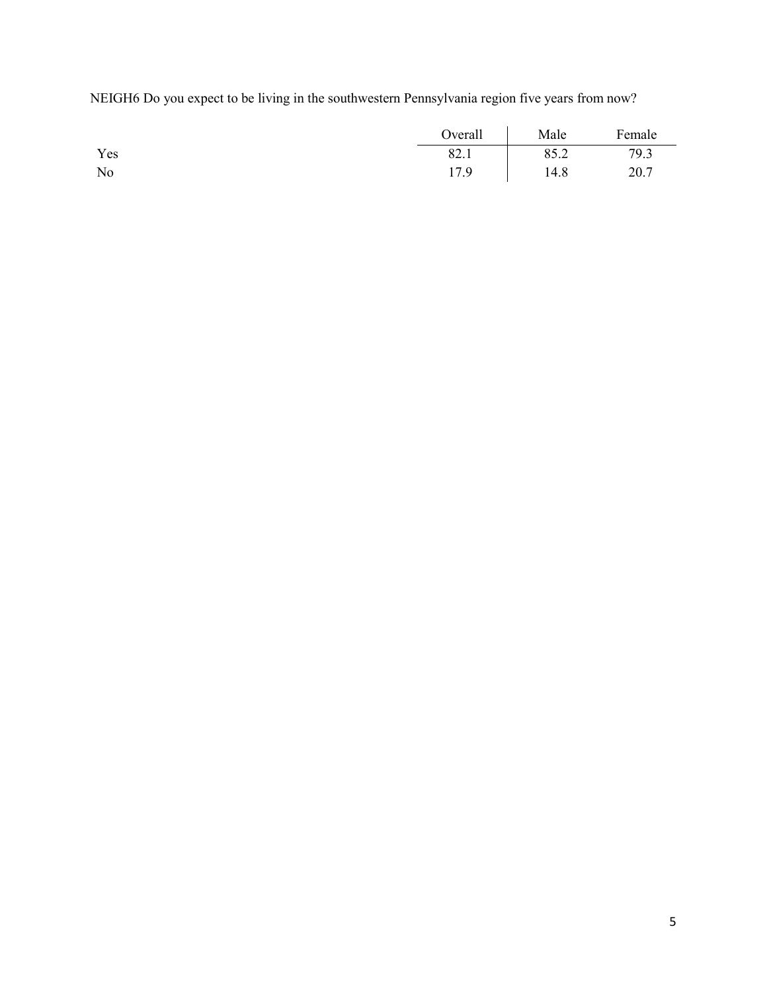NEIGH6 Do you expect to be living in the southwestern Pennsylvania region five years from now?

|                | Overall | Male | Female |
|----------------|---------|------|--------|
| Yes            | 82.1    | 85.2 | 79.3   |
| N <sub>o</sub> | 17.9    | 14.8 | 20.7   |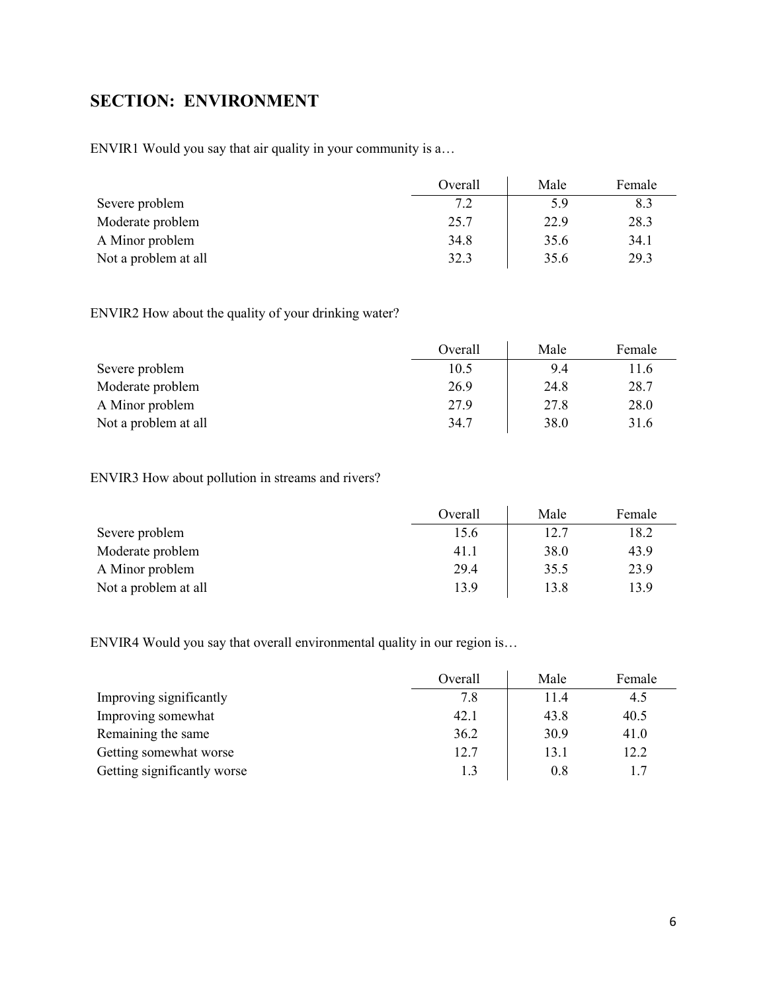# <span id="page-5-0"></span>**SECTION: ENVIRONMENT**

ENVIR1 Would you say that air quality in your community is a…

|                      | Overall | Male | Female |
|----------------------|---------|------|--------|
| Severe problem       | 7.2     | 5.9  | 8.3    |
| Moderate problem     | 25.7    | 22.9 | 28.3   |
| A Minor problem      | 34.8    | 35.6 | 34.1   |
| Not a problem at all | 32.3    | 35.6 | 29.3   |

ENVIR2 How about the quality of your drinking water?

|                      | Overall | Male | Female |
|----------------------|---------|------|--------|
| Severe problem       | 10.5    | 9.4  | 11.6   |
| Moderate problem     | 26.9    | 24.8 | 28.7   |
| A Minor problem      | 27.9    | 27.8 | 28.0   |
| Not a problem at all | 34.7    | 38.0 | 31.6   |

ENVIR3 How about pollution in streams and rivers?

|                      | Overall | Male | Female |
|----------------------|---------|------|--------|
| Severe problem       | 15.6    | 12.7 | 18.2   |
| Moderate problem     | 41.1    | 38.0 | 43.9   |
| A Minor problem      | 29.4    | 35.5 | 23.9   |
| Not a problem at all | 13.9    | 13.8 | 13.9   |

ENVIR4 Would you say that overall environmental quality in our region is…

|                             | Overall | Male | Female |
|-----------------------------|---------|------|--------|
| Improving significantly     | 7.8     | 11.4 | 4.5    |
| Improving somewhat          | 42.1    | 43.8 | 40.5   |
| Remaining the same          | 36.2    | 30.9 | 41.0   |
| Getting somewhat worse      | 12.7    | 13.1 | 12.2   |
| Getting significantly worse |         | 0.8  |        |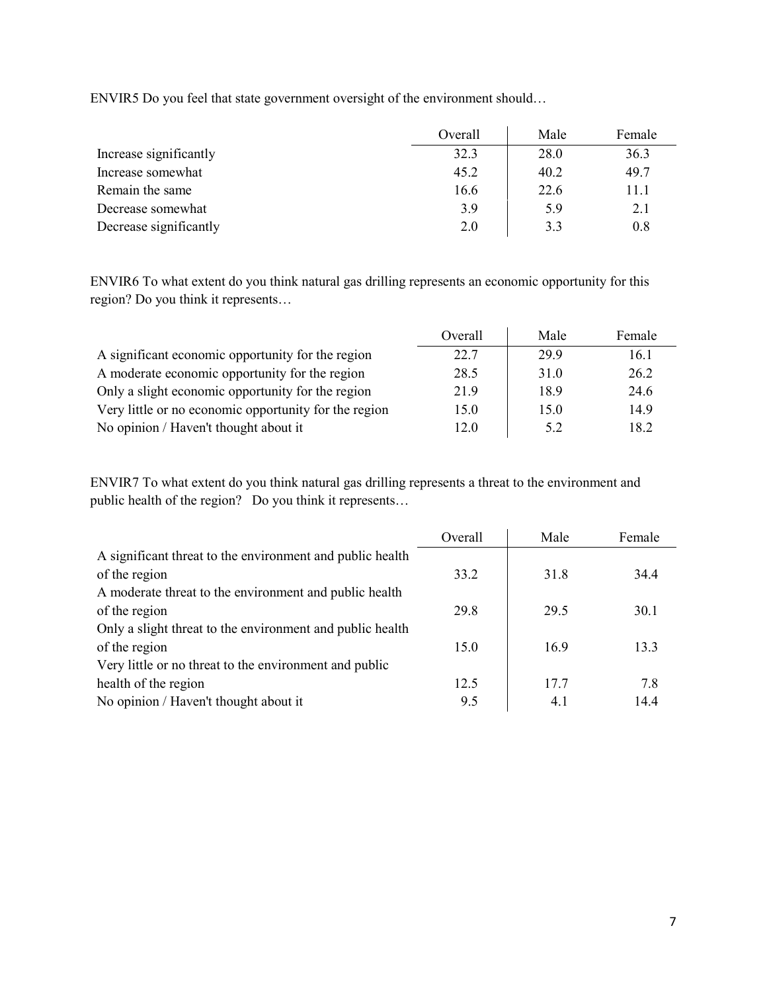ENVIR5 Do you feel that state government oversight of the environment should…

|                        | Overall | Male | Female |
|------------------------|---------|------|--------|
| Increase significantly | 32.3    | 28.0 | 36.3   |
| Increase somewhat      | 45.2    | 40.2 | 49.7   |
| Remain the same        | 16.6    | 22.6 | 11.1   |
| Decrease somewhat      | 3.9     | 5.9  | 2.1    |
| Decrease significantly | 2.0     | 3.3  | 0.8    |

ENVIR6 To what extent do you think natural gas drilling represents an economic opportunity for this region? Do you think it represents…

|                                                       | Overall | Male | Female |
|-------------------------------------------------------|---------|------|--------|
| A significant economic opportunity for the region     | 22.7    | 29.9 | 16.1   |
| A moderate economic opportunity for the region        | 28.5    | 31.0 | 26.2   |
| Only a slight economic opportunity for the region     | 21.9    | 18.9 | 24.6   |
| Very little or no economic opportunity for the region | 15.0    | 15.0 | 14.9   |
| No opinion / Haven't thought about it                 | 12.0    | 5.2  | 18.2   |

ENVIR7 To what extent do you think natural gas drilling represents a threat to the environment and public health of the region? Do you think it represents…

|                                                           | Overall | Male | Female |
|-----------------------------------------------------------|---------|------|--------|
| A significant threat to the environment and public health |         |      |        |
| of the region                                             | 33.2    | 31.8 | 34.4   |
| A moderate threat to the environment and public health    |         |      |        |
| of the region                                             | 29.8    | 29.5 | 30.1   |
| Only a slight threat to the environment and public health |         |      |        |
| of the region                                             | 15.0    | 16.9 | 13.3   |
| Very little or no threat to the environment and public    |         |      |        |
| health of the region                                      | 12.5    | 17.7 | 7.8    |
| No opinion / Haven't thought about it                     | 9.5     | 4.1  | 14.4   |
|                                                           |         |      |        |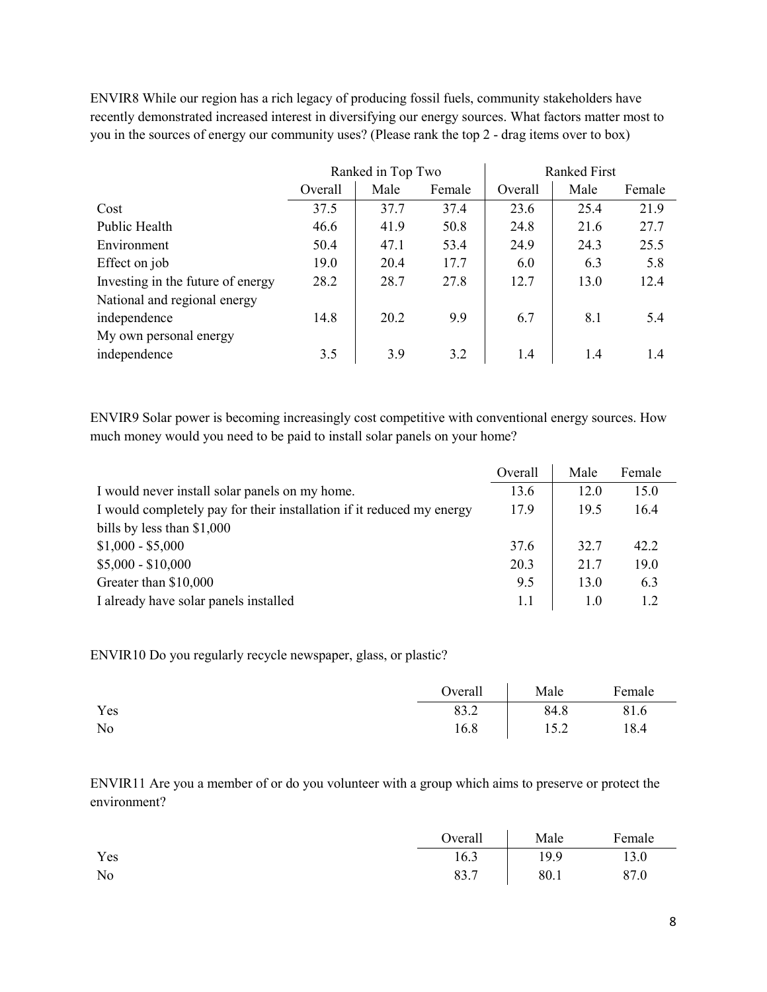ENVIR8 While our region has a rich legacy of producing fossil fuels, community stakeholders have recently demonstrated increased interest in diversifying our energy sources. What factors matter most to you in the sources of energy our community uses? (Please rank the top 2 - drag items over to box)

|                                   |         | Ranked in Top Two |        | <b>Ranked First</b> |      |        |
|-----------------------------------|---------|-------------------|--------|---------------------|------|--------|
|                                   | Overall | Male              | Female | Overall             | Male | Female |
| Cost                              | 37.5    | 37.7              | 37.4   | 23.6                | 25.4 | 21.9   |
| Public Health                     | 46.6    | 41.9              | 50.8   | 24.8                | 21.6 | 27.7   |
| Environment                       | 50.4    | 47.1              | 53.4   | 24.9                | 24.3 | 25.5   |
| Effect on job                     | 19.0    | 20.4              | 17.7   | 6.0                 | 6.3  | 5.8    |
| Investing in the future of energy | 28.2    | 28.7              | 27.8   | 12.7                | 13.0 | 12.4   |
| National and regional energy      |         |                   |        |                     |      |        |
| independence                      | 14.8    | 20.2              | 9.9    | 6.7                 | 8.1  | 5.4    |
| My own personal energy            |         |                   |        |                     |      |        |
| independence                      | 3.5     | 3.9               | 3.2    | 1.4                 | 1.4  | 1.4    |

ENVIR9 Solar power is becoming increasingly cost competitive with conventional energy sources. How much money would you need to be paid to install solar panels on your home?

|                                                                       | Overall | Male | Female |
|-----------------------------------------------------------------------|---------|------|--------|
| I would never install solar panels on my home.                        | 13.6    | 12.0 | 15.0   |
| I would completely pay for their installation if it reduced my energy | 17.9    | 19.5 | 16.4   |
| bills by less than \$1,000                                            |         |      |        |
| $$1,000 - $5,000$                                                     | 37.6    | 32.7 | 42.2   |
| $$5,000 - $10,000$                                                    | 20.3    | 21.7 | 19.0   |
| Greater than \$10,000                                                 | 9.5     | 13.0 | 6.3    |
| I already have solar panels installed                                 | 1.1     | 1.0  |        |

ENVIR10 Do you regularly recycle newspaper, glass, or plastic?

|     | Overall     | Male | Female |
|-----|-------------|------|--------|
| Yes | 922<br>89.Z | 84.8 | 81.6   |
| No  | 16.8        | 15.2 | 18.4   |

ENVIR11 Are you a member of or do you volunteer with a group which aims to preserve or protect the environment?

|     | Overall | Male | Female |
|-----|---------|------|--------|
| Yes | 16.3    | 19.9 | 13.0   |
| No  | 83.7    | 80.1 | 87.0   |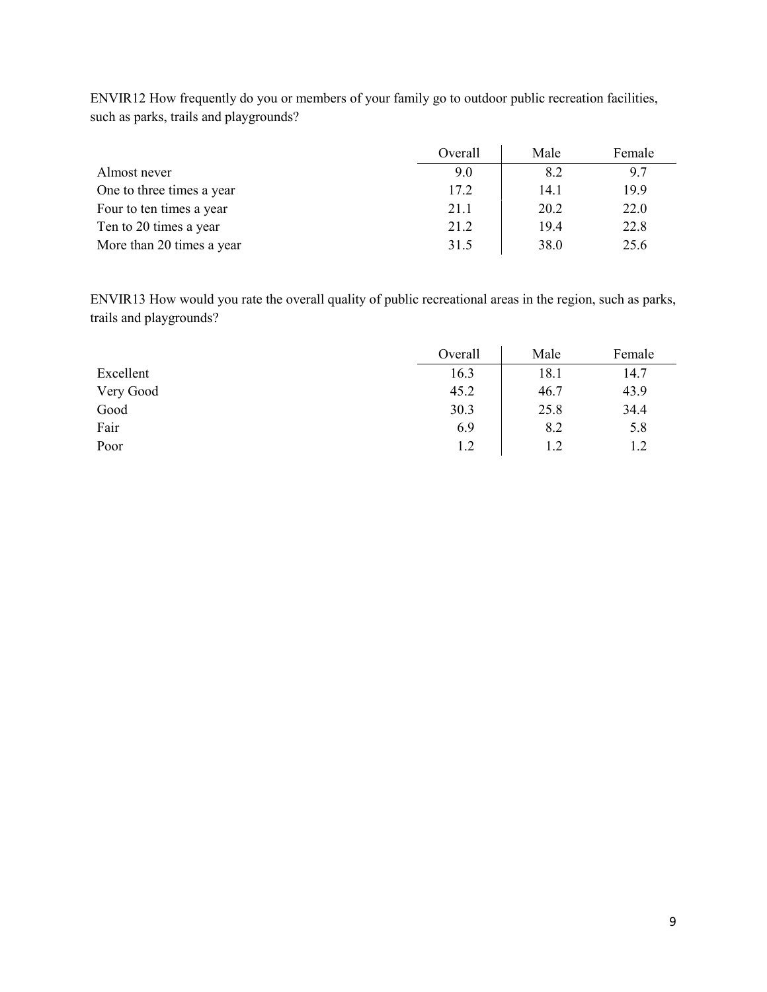|                           | Overall | Male | Female |
|---------------------------|---------|------|--------|
| Almost never              | 9.0     | 8.2  | 9.7    |
| One to three times a year | 17.2    | 14.1 | 19.9   |
| Four to ten times a year  | 21.1    | 20.2 | 22.0   |
| Ten to 20 times a year    | 21.2    | 19.4 | 22.8   |
| More than 20 times a year | 31.5    | 38.0 | 25.6   |

ENVIR12 How frequently do you or members of your family go to outdoor public recreation facilities, such as parks, trails and playgrounds?

ENVIR13 How would you rate the overall quality of public recreational areas in the region, such as parks, trails and playgrounds?

|           | Overall | Male | Female |
|-----------|---------|------|--------|
| Excellent | 16.3    | 18.1 | 14.7   |
| Very Good | 45.2    | 46.7 | 43.9   |
| Good      | 30.3    | 25.8 | 34.4   |
| Fair      | 6.9     | 8.2  | 5.8    |
| Poor      | 1.2     | 1.2  | 1.2    |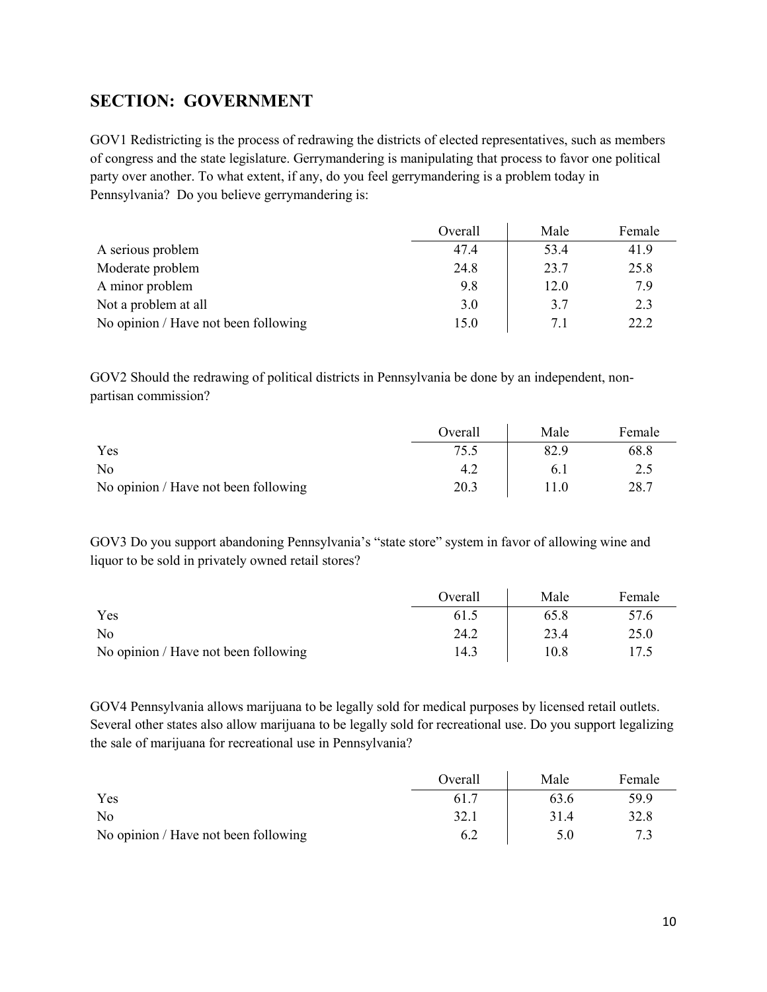## <span id="page-9-0"></span>**SECTION: GOVERNMENT**

GOV1 Redistricting is the process of redrawing the districts of elected representatives, such as members of congress and the state legislature. Gerrymandering is manipulating that process to favor one political party over another. To what extent, if any, do you feel gerrymandering is a problem today in Pennsylvania? Do you believe gerrymandering is:

|                                      | Overall | Male | Female |
|--------------------------------------|---------|------|--------|
| A serious problem                    | 47.4    | 53.4 | 41.9   |
| Moderate problem                     | 24.8    | 23.7 | 25.8   |
| A minor problem                      | 9.8     | 12.0 | 7.9    |
| Not a problem at all                 | 3.0     | 3.7  | 2.3    |
| No opinion / Have not been following | 15.0    | 7.1  | 22.2   |

GOV2 Should the redrawing of political districts in Pennsylvania be done by an independent, nonpartisan commission?

|                                      | Overall | Male | Female |
|--------------------------------------|---------|------|--------|
| Yes                                  | 75.5    | 82.9 | 68.8   |
| N <sub>0</sub>                       |         | 0.1  | 2.5    |
| No opinion / Have not been following | 20.3    | 11.0 | 28.7   |

GOV3 Do you support abandoning Pennsylvania's "state store" system in favor of allowing wine and liquor to be sold in privately owned retail stores?

|                                      | Overall | Male | Female |
|--------------------------------------|---------|------|--------|
| Yes                                  | 61.5    | 65.8 | 57.6   |
| N <sub>0</sub>                       | 24.2    | 23.4 | 25.0   |
| No opinion / Have not been following | 14.3    | 10.8 | 17.5   |

GOV4 Pennsylvania allows marijuana to be legally sold for medical purposes by licensed retail outlets. Several other states also allow marijuana to be legally sold for recreational use. Do you support legalizing the sale of marijuana for recreational use in Pennsylvania?

|                                      | Overall | Male | Female |
|--------------------------------------|---------|------|--------|
| Yes                                  | 61.7    | 63.6 | 59.9   |
| No                                   | 32.1    | 31.4 | 32.8   |
| No opinion / Have not been following | 6.2     | 5.0  |        |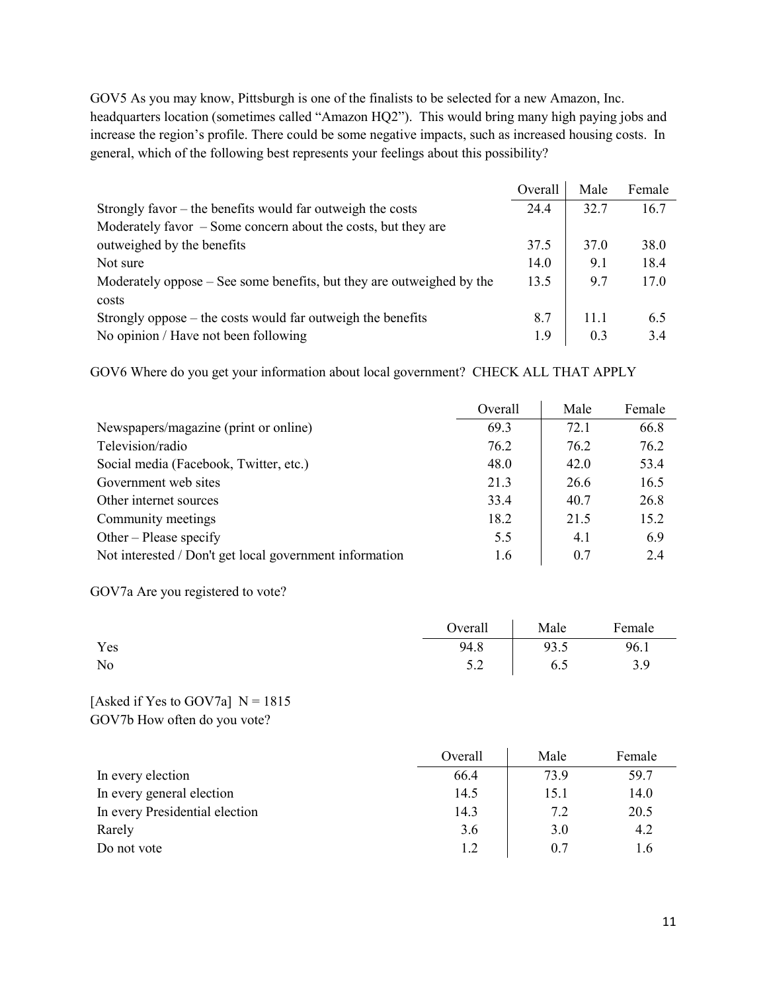GOV5 As you may know, Pittsburgh is one of the finalists to be selected for a new Amazon, Inc. headquarters location (sometimes called "Amazon HQ2"). This would bring many high paying jobs and increase the region's profile. There could be some negative impacts, such as increased housing costs. In general, which of the following best represents your feelings about this possibility?

|                                                                       | Overall | Male | Female |
|-----------------------------------------------------------------------|---------|------|--------|
| Strongly favor $-$ the benefits would far outweigh the costs          | 24.4    | 32.7 | 16.7   |
| Moderately favor $-$ Some concern about the costs, but they are       |         |      |        |
| outweighed by the benefits                                            | 37.5    | 37.0 | 38.0   |
| Not sure                                                              | 14.0    | 9.1  | 18.4   |
| Moderately oppose – See some benefits, but they are outweighed by the | 13.5    | 9.7  | 17.0   |
| costs                                                                 |         |      |        |
| Strongly oppose $-$ the costs would far outweigh the benefits         | 8.7     | 11.1 | 6.5    |
| No opinion / Have not been following                                  | 1.9     | 0.3  | 3.4    |

GOV6 Where do you get your information about local government? CHECK ALL THAT APPLY

|                                                         | Overall | Male | Female |
|---------------------------------------------------------|---------|------|--------|
| Newspapers/magazine (print or online)                   | 69.3    | 72.1 | 66.8   |
| Television/radio                                        | 76.2    | 76.2 | 76.2   |
| Social media (Facebook, Twitter, etc.)                  | 48.0    | 42.0 | 53.4   |
| Government web sites                                    | 21.3    | 26.6 | 16.5   |
| Other internet sources                                  | 33.4    | 40.7 | 26.8   |
| Community meetings                                      | 18.2    | 21.5 | 15.2   |
| Other – Please specify                                  | 5.5     | 4.1  | 6.9    |
| Not interested / Don't get local government information | 1.6     | 0.7  | 2.4    |

GOV7a Are you registered to vote?

|     |      | Overall Male Female |      |
|-----|------|---------------------|------|
| Yes | 94.8 | 93.5                | 96.1 |
| No  |      | $5.2$ 6.5           | 3.9  |

#### [Asked if Yes to GOV7a]  $N = 1815$ GOV7b How often do you vote?

|                                | Overall | Male | Female |
|--------------------------------|---------|------|--------|
| In every election              | 66.4    | 73.9 | 59.7   |
| In every general election      | 14.5    | 15.1 | 14.0   |
| In every Presidential election | 14.3    | 7.2  | 20.5   |
| Rarely                         | 3.6     | 3.0  | 4.2    |
| Do not vote                    | 1.2     | 0.7  | 1.6    |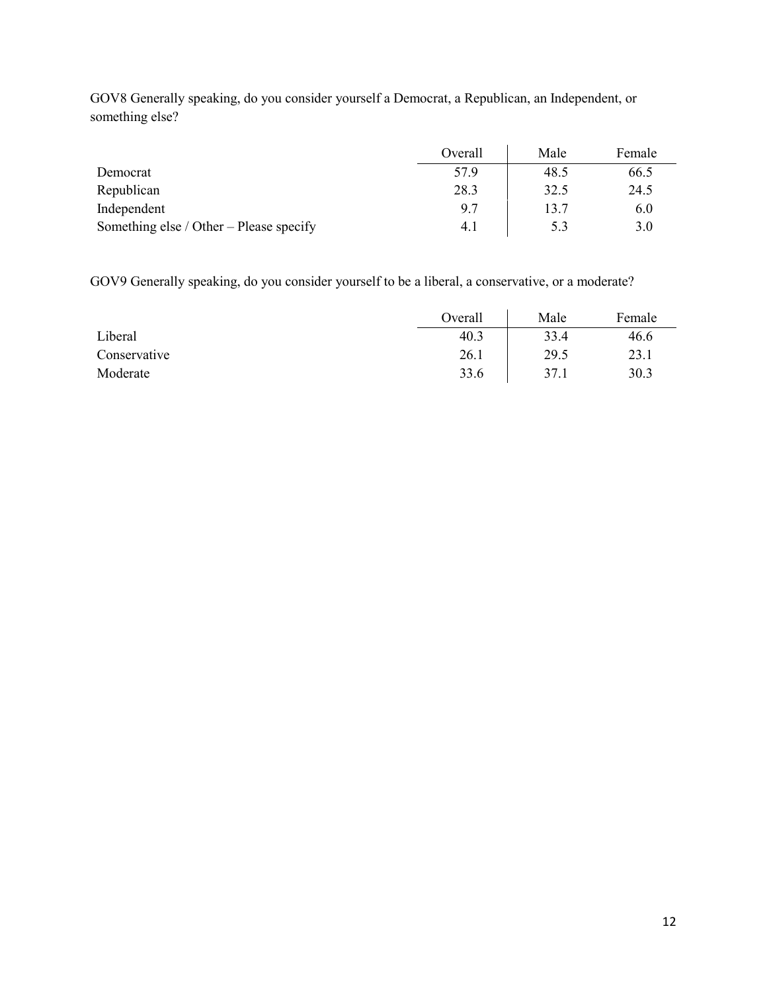|                                         | Overall | Male | Female |
|-----------------------------------------|---------|------|--------|
| Democrat                                | 57.9    | 48.5 | 66.5   |
| Republican                              | 28.3    | 32.5 | 24.5   |
| Independent                             | 9.7     | 13.7 | 6.0    |
| Something else / Other – Please specify | 4.1     | 5.3  | 3.0    |

GOV8 Generally speaking, do you consider yourself a Democrat, a Republican, an Independent, or something else?

GOV9 Generally speaking, do you consider yourself to be a liberal, a conservative, or a moderate?

|              | Overall | Male | Female |
|--------------|---------|------|--------|
| Liberal      | 40.3    | 33.4 | 46.6   |
| Conservative | 26.1    | 29.5 | 23.1   |
| Moderate     | 33.6    | 37.1 | 30.3   |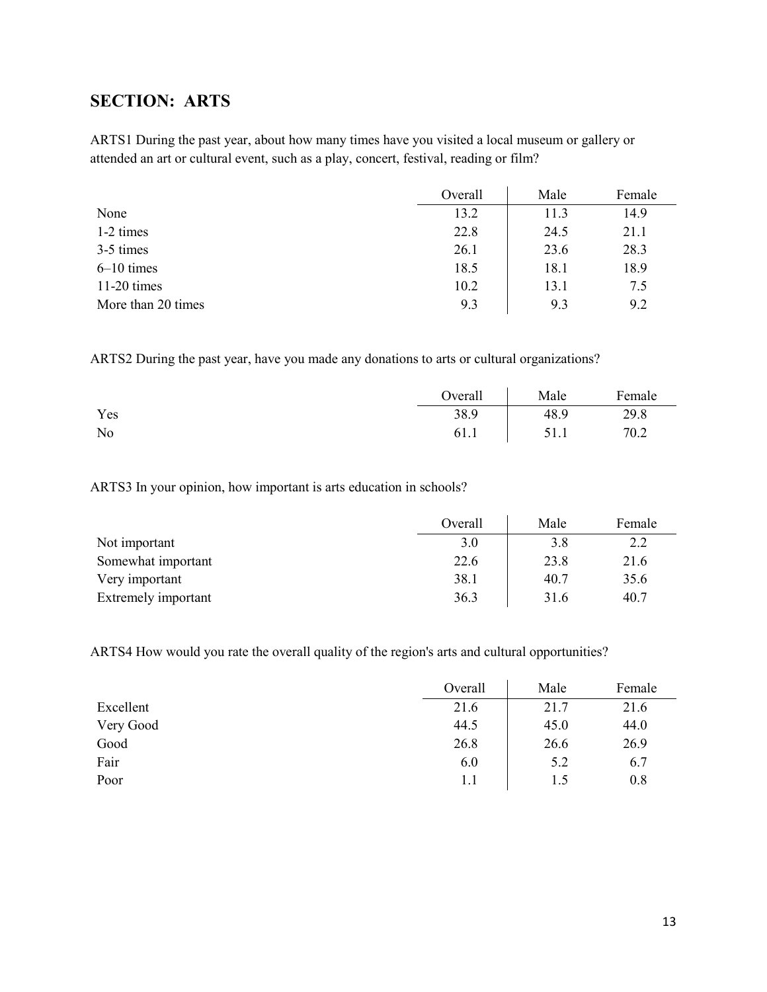## <span id="page-12-0"></span>**SECTION: ARTS**

ARTS1 During the past year, about how many times have you visited a local museum or gallery or attended an art or cultural event, such as a play, concert, festival, reading or film?

|                    | Overall | Male | Female |
|--------------------|---------|------|--------|
| None               | 13.2    | 11.3 | 14.9   |
| 1-2 times          | 22.8    | 24.5 | 21.1   |
| 3-5 times          | 26.1    | 23.6 | 28.3   |
| $6-10$ times       | 18.5    | 18.1 | 18.9   |
| $11-20$ times      | 10.2    | 13.1 | 7.5    |
| More than 20 times | 9.3     | 9.3  | 9.2    |

ARTS2 During the past year, have you made any donations to arts or cultural organizations?

|     | Overall | Male | Female |
|-----|---------|------|--------|
| Yes | 38.9    | 48.9 | 29.8   |
| No  | 61.1    | 51.1 | 70.2   |

ARTS3 In your opinion, how important is arts education in schools?

|                     | Overall | Male | Female |
|---------------------|---------|------|--------|
| Not important       | 3.0     | 3.8  | 2.2    |
| Somewhat important  | 22.6    | 23.8 | 21.6   |
| Very important      | 38.1    | 40.7 | 35.6   |
| Extremely important | 36.3    | 31.6 | 40.7   |

ARTS4 How would you rate the overall quality of the region's arts and cultural opportunities?

|           | Overall | Male | Female |
|-----------|---------|------|--------|
| Excellent | 21.6    | 21.7 | 21.6   |
| Very Good | 44.5    | 45.0 | 44.0   |
| Good      | 26.8    | 26.6 | 26.9   |
| Fair      | 6.0     | 5.2  | 6.7    |
| Poor      | 1.1     |      | 0.8    |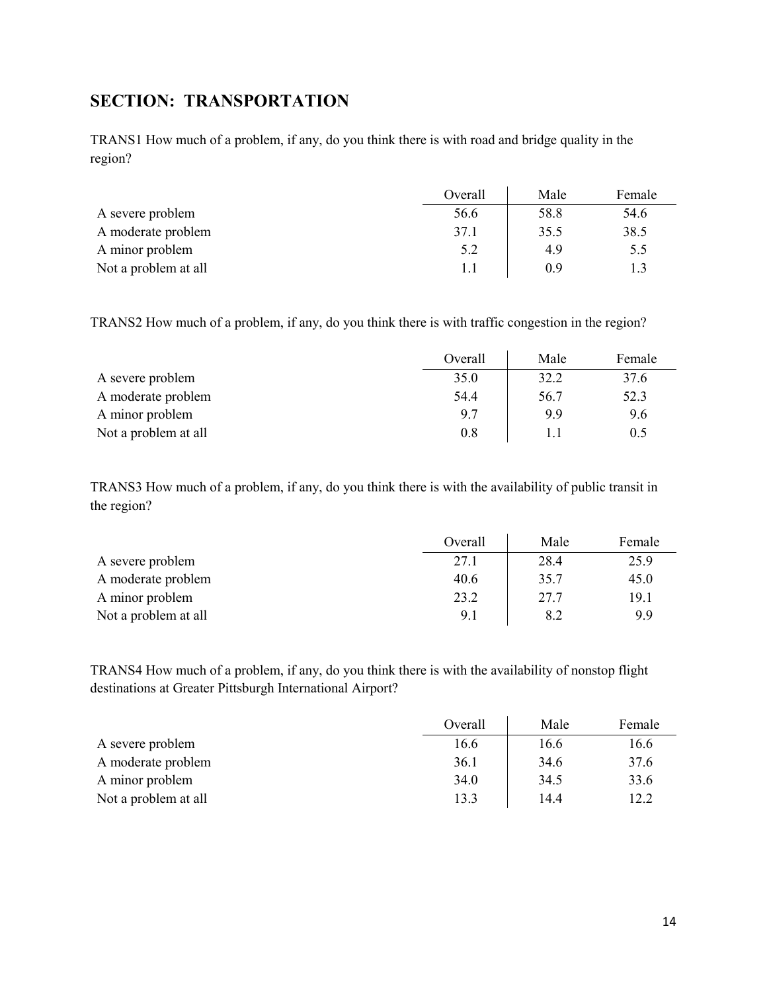## <span id="page-13-0"></span>**SECTION: TRANSPORTATION**

TRANS1 How much of a problem, if any, do you think there is with road and bridge quality in the region?

|                      | Overall | Male | Female |
|----------------------|---------|------|--------|
| A severe problem     | 56.6    | 58.8 | 54.6   |
| A moderate problem   | 37.1    | 35.5 | 38.5   |
| A minor problem      | 5.2     | 4.9  | 5.5    |
| Not a problem at all | 1.1     | 0.9  | 1.3    |

TRANS2 How much of a problem, if any, do you think there is with traffic congestion in the region?

|                      | Overall | Male | Female |
|----------------------|---------|------|--------|
| A severe problem     | 35.0    | 32.2 | 37.6   |
| A moderate problem   | 54.4    | 56.7 | 52.3   |
| A minor problem      | 9.7     | 9.9  | 9.6    |
| Not a problem at all | 0.8     |      | 0.5    |

TRANS3 How much of a problem, if any, do you think there is with the availability of public transit in the region?

|                      | Overall | Male | Female |
|----------------------|---------|------|--------|
| A severe problem     | 27.1    | 28.4 | 25.9   |
| A moderate problem   | 40.6    | 35.7 | 45.0   |
| A minor problem      | 23.2    | 27.7 | 19.1   |
| Not a problem at all | 9.1     | 8.2  | 9.9    |

TRANS4 How much of a problem, if any, do you think there is with the availability of nonstop flight destinations at Greater Pittsburgh International Airport?

|                      | Overall | Male | Female |
|----------------------|---------|------|--------|
| A severe problem     | 16.6    | 16.6 | 16.6   |
| A moderate problem   | 36.1    | 34.6 | 37.6   |
| A minor problem      | 34.0    | 34.5 | 33.6   |
| Not a problem at all | 13.3    | 14.4 | 12.2   |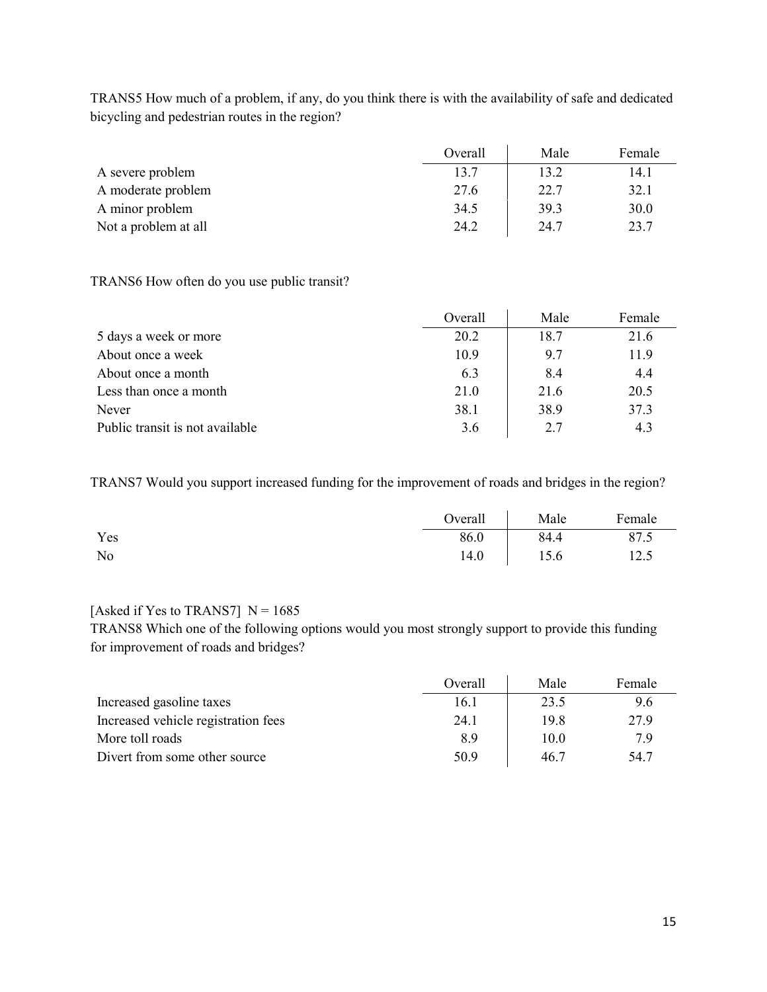TRANS5 How much of a problem, if any, do you think there is with the availability of safe and dedicated bicycling and pedestrian routes in the region?

|                      | Overall | Male | Female |
|----------------------|---------|------|--------|
| A severe problem     | 13.7    | 13.2 | 14.1   |
| A moderate problem   | 27.6    | 22.7 | 32.1   |
| A minor problem      | 34.5    | 39.3 | 30.0   |
| Not a problem at all | 24.2    | 24.7 | 23.7   |

#### TRANS6 How often do you use public transit?

|                                 | Overall | Male | Female |
|---------------------------------|---------|------|--------|
| 5 days a week or more           | 20.2    | 18.7 | 21.6   |
| About once a week               | 10.9    | 9.7  | 11.9   |
| About once a month              | 6.3     | 8.4  | 4.4    |
| Less than once a month          | 21.0    | 21.6 | 20.5   |
| Never                           | 38.1    | 38.9 | 37.3   |
| Public transit is not available | 3.6     | 2.7  | 4.3    |

TRANS7 Would you support increased funding for the improvement of roads and bridges in the region?

|     | Overall | Male | Female |
|-----|---------|------|--------|
| Yes | 86.0    | 84.4 | 87.5   |
| No  | 14.0    | 15.6 | 12.5   |

### [Asked if Yes to TRANS7]  $N = 1685$

TRANS8 Which one of the following options would you most strongly support to provide this funding for improvement of roads and bridges?

|                                     | Overall | Male | Female |
|-------------------------------------|---------|------|--------|
| Increased gasoline taxes            | 16.1    | 23.5 | 9.6    |
| Increased vehicle registration fees | 24.1    | 19.8 | 27.9   |
| More toll roads                     | 8.9     | 10.0 | 7.9    |
| Divert from some other source       | 50.9    | 46.7 | 54.7   |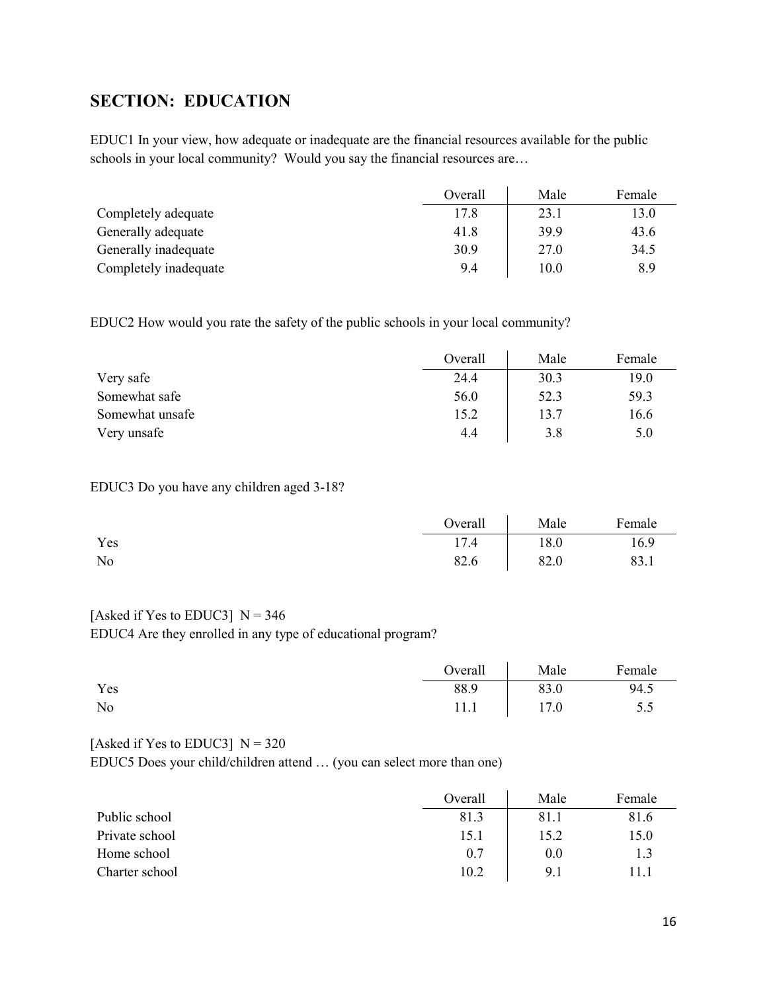## <span id="page-15-0"></span>**SECTION: EDUCATION**

EDUC1 In your view, how adequate or inadequate are the financial resources available for the public schools in your local community? Would you say the financial resources are…

|                       | Overall | Male | Female |
|-----------------------|---------|------|--------|
| Completely adequate   | 17.8    | 23.1 | 13.0   |
| Generally adequate    | 41.8    | 39.9 | 43.6   |
| Generally inadequate  | 30.9    | 27.0 | 34.5   |
| Completely inadequate | 9.4     | 10.0 | 8.9    |

EDUC2 How would you rate the safety of the public schools in your local community?

|                 | Overall | Male | Female |
|-----------------|---------|------|--------|
| Very safe       | 24.4    | 30.3 | 19.0   |
| Somewhat safe   | 56.0    | 52.3 | 59.3   |
| Somewhat unsafe | 15.2    | 13.7 | 16.6   |
| Very unsafe     | 4.4     | 3.8  | 5.0    |

#### EDUC3 Do you have any children aged 3-18?

|     | Overall | Male | Female |
|-----|---------|------|--------|
| Yes | 17.4    | 18.0 | 16.9   |
| No  | 82.6    | 82.0 | 83.1   |

#### [Asked if Yes to EDUC3]  $N = 346$

EDUC4 Are they enrolled in any type of educational program?

|     | Overall | Male | Female |
|-----|---------|------|--------|
| Yes | 88.9    | 83.0 | 94.5   |
| No  | 11.1    | 17.0 | 5.5    |

#### [Asked if Yes to EDUC3]  $N = 320$

EDUC5 Does your child/children attend … (you can select more than one)

|                | Overall | Male | Female |
|----------------|---------|------|--------|
| Public school  | 81.3    | 81.1 | 81.6   |
| Private school | 15.1    | 15.2 | 15.0   |
| Home school    | 0.7     | 0.0  | 1.3    |
| Charter school | 10.2    | 9.1  | 11.1   |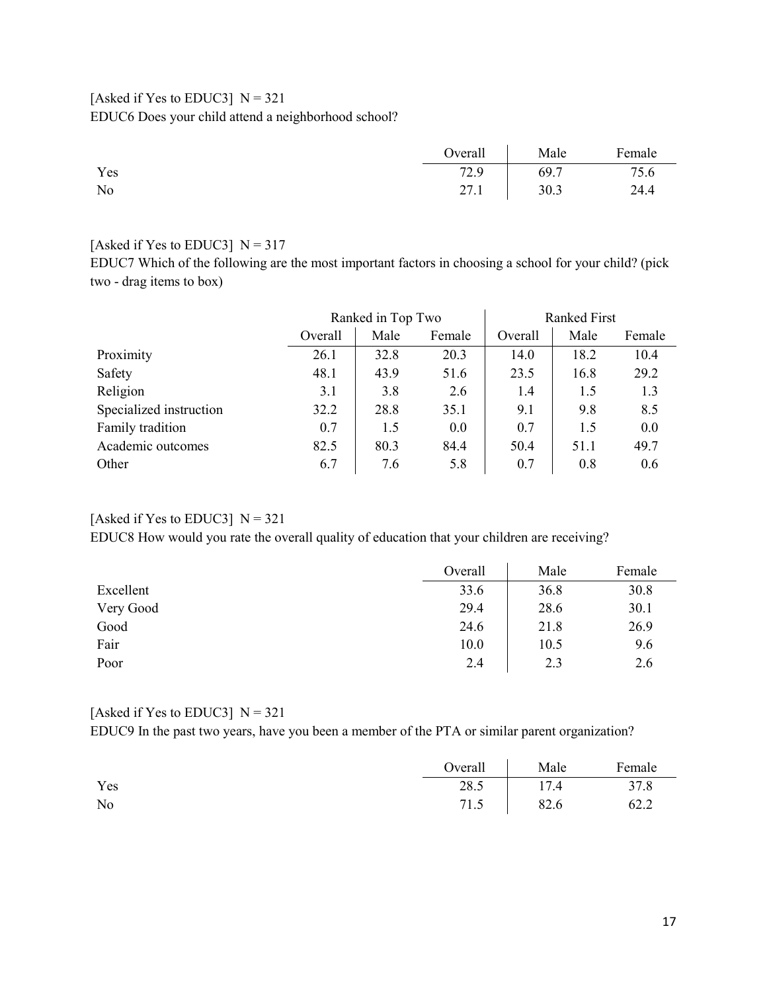### [Asked if Yes to EDUC3]  $N = 321$ EDUC6 Does your child attend a neighborhood school?

|     | Overal | Male | Female |
|-----|--------|------|--------|
| Yes | 72.9   | 69.7 | 75.6   |
| No  | 27.1   | 30.3 | 24.4   |

#### [Asked if Yes to EDUC3]  $N = 317$

EDUC7 Which of the following are the most important factors in choosing a school for your child? (pick two - drag items to box)

|                         |         | Ranked in Top Two |        | <b>Ranked First</b> |      |        |
|-------------------------|---------|-------------------|--------|---------------------|------|--------|
|                         | Overall | Male              | Female | Overall             | Male | Female |
| Proximity               | 26.1    | 32.8              | 20.3   | 14.0                | 18.2 | 10.4   |
| Safety                  | 48.1    | 43.9              | 51.6   | 23.5                | 16.8 | 29.2   |
| Religion                | 3.1     | 3.8               | 2.6    | 1.4                 | 1.5  | 1.3    |
| Specialized instruction | 32.2    | 28.8              | 35.1   | 9.1                 | 9.8  | 8.5    |
| Family tradition        | 0.7     | 1.5               | 0.0    | 0.7                 | 1.5  | 0.0    |
| Academic outcomes       | 82.5    | 80.3              | 84.4   | 50.4                | 51.1 | 49.7   |
| Other                   | 6.7     | 7.6               | 5.8    | 0.7                 | 0.8  | 0.6    |

## [Asked if Yes to EDUC3]  $N = 321$

EDUC8 How would you rate the overall quality of education that your children are receiving?

|           | Overall | Male | Female |
|-----------|---------|------|--------|
| Excellent | 33.6    | 36.8 | 30.8   |
| Very Good | 29.4    | 28.6 | 30.1   |
| Good      | 24.6    | 21.8 | 26.9   |
| Fair      | 10.0    | 10.5 | 9.6    |
| Poor      | 2.4     | 2.3  | 2.6    |

#### [Asked if Yes to EDUC3]  $N = 321$

EDUC9 In the past two years, have you been a member of the PTA or similar parent organization?

|     | Overall Male |             | Female |
|-----|--------------|-------------|--------|
| Yes | 28.5         | 17.4        | 37.8   |
| No  |              | 71.5   82.6 | 62.2   |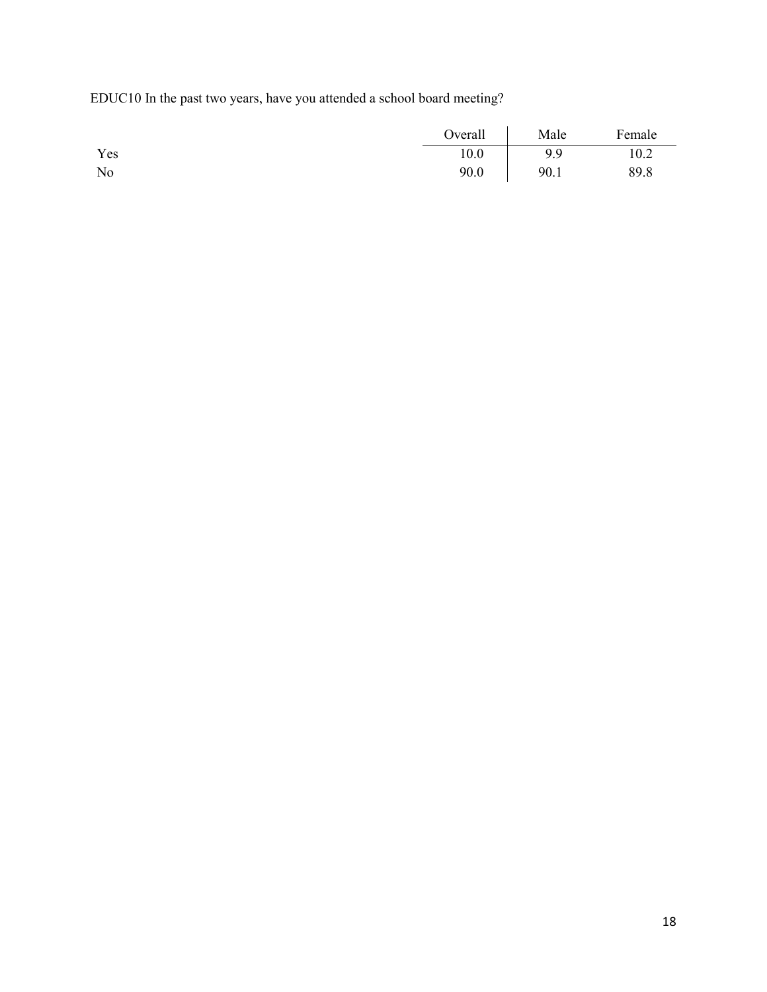EDUC10 In the past two years, have you attended a school board meeting?

|     | Overall | Male | Female |
|-----|---------|------|--------|
| Yes | 10.0    | 9.9  | 10.2   |
| No  | 90.0    | 90.1 | 89.8   |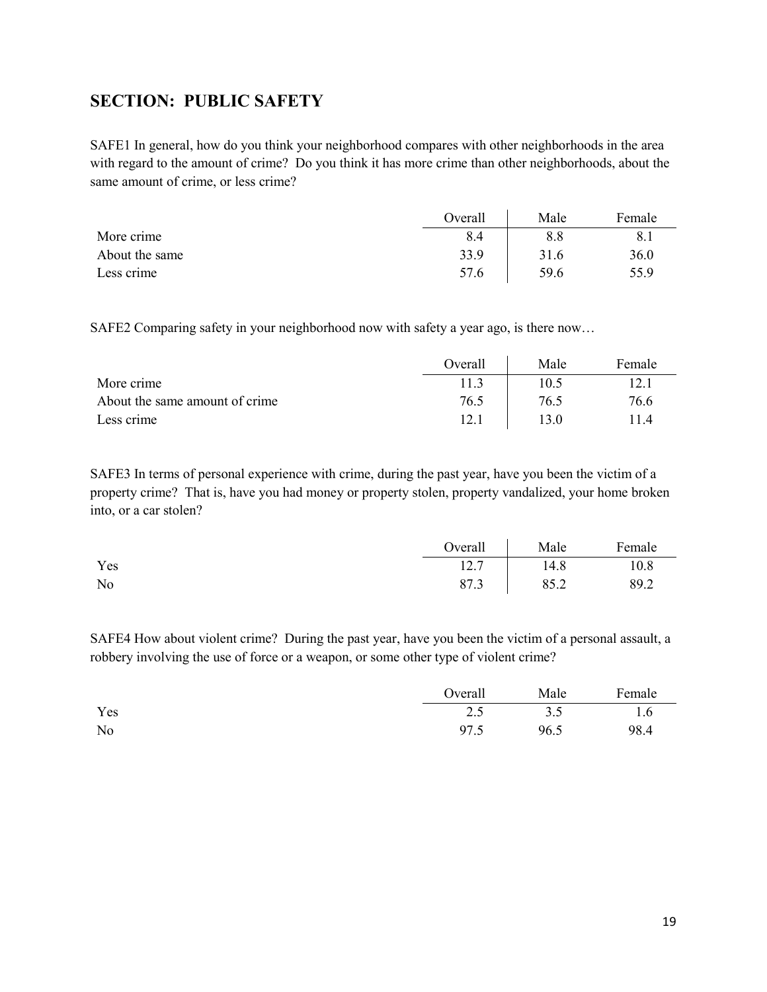## <span id="page-18-0"></span>**SECTION: PUBLIC SAFETY**

SAFE1 In general, how do you think your neighborhood compares with other neighborhoods in the area with regard to the amount of crime? Do you think it has more crime than other neighborhoods, about the same amount of crime, or less crime?

|                | Overall | Male | Female |
|----------------|---------|------|--------|
| More crime     | 8.4     | 8.8  | 8.1    |
| About the same | 33.9    | 31.6 | 36.0   |
| Less crime     | 57.6    | 59.6 | 55.9   |

SAFE2 Comparing safety in your neighborhood now with safety a year ago, is there now…

|                                | Overall | Male | Female |
|--------------------------------|---------|------|--------|
| More crime                     | 11.3    | 10.5 | 12.1   |
| About the same amount of crime | 76.5    | 76.5 | 76.6   |
| Less crime                     | 12.1    | 13.0 | l 1.4  |

SAFE3 In terms of personal experience with crime, during the past year, have you been the victim of a property crime? That is, have you had money or property stolen, property vandalized, your home broken into, or a car stolen?

|     | Overall | Male | Female |
|-----|---------|------|--------|
| Yes | 12.7    | 14.8 | 10.8   |
| No  | 87.3    | 85.2 | 89.2   |

SAFE4 How about violent crime? During the past year, have you been the victim of a personal assault, a robbery involving the use of force or a weapon, or some other type of violent crime?

|                | Overall | Male | Female |
|----------------|---------|------|--------|
| Yes            | 2.5     | 3.5  | 1.6    |
| N <sub>o</sub> | 97.5    | 96.5 | 98.4   |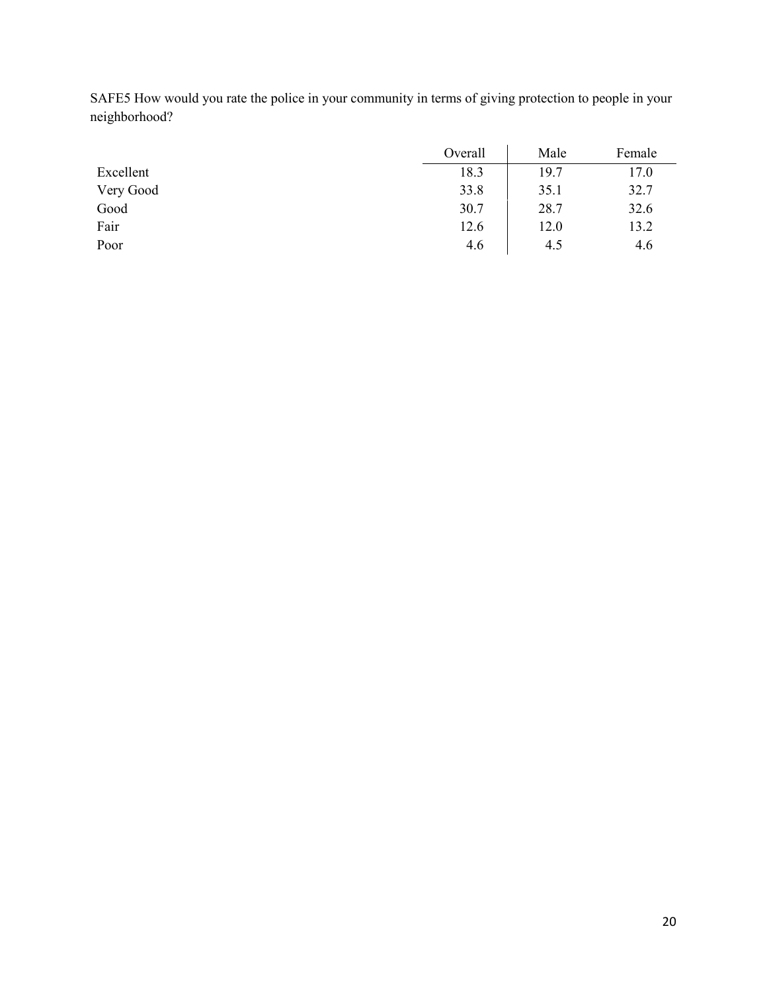SAFE5 How would you rate the police in your community in terms of giving protection to people in your neighborhood?

|           | Overall | Male | Female |
|-----------|---------|------|--------|
| Excellent | 18.3    | 19.7 | 17.0   |
| Very Good | 33.8    | 35.1 | 32.7   |
| Good      | 30.7    | 28.7 | 32.6   |
| Fair      | 12.6    | 12.0 | 13.2   |
| Poor      | 4.6     | 4.5  | 4.6    |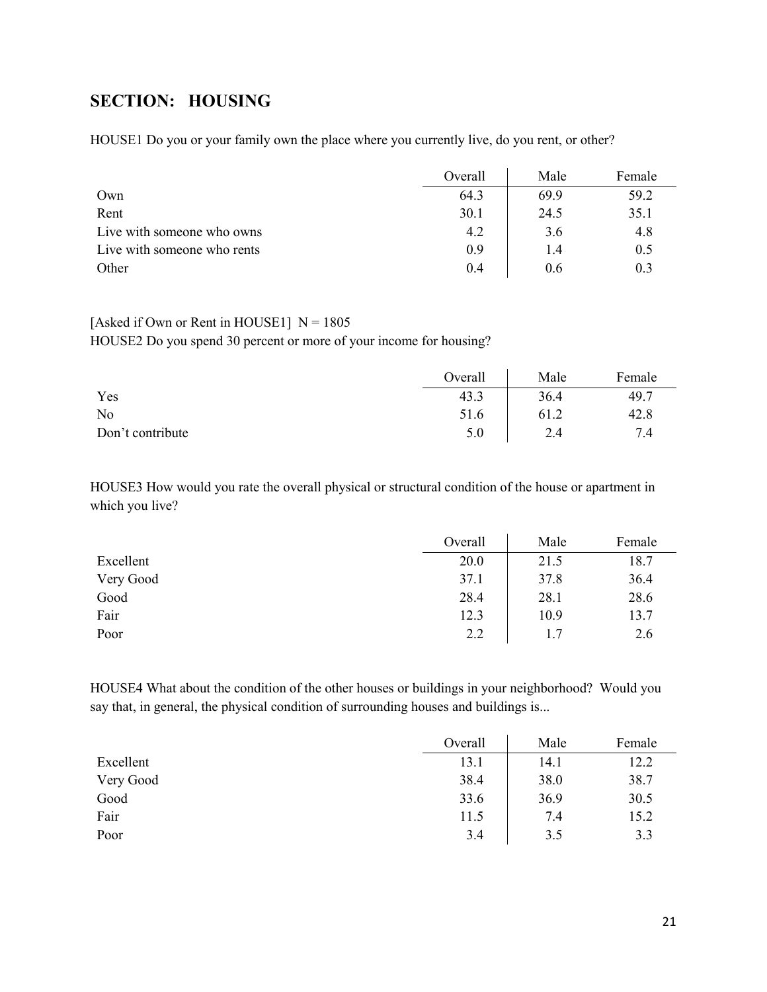## <span id="page-20-0"></span>**SECTION: HOUSING**

HOUSE1 Do you or your family own the place where you currently live, do you rent, or other?

|                             | Overall | Male | Female |
|-----------------------------|---------|------|--------|
| Own                         | 64.3    | 69.9 | 59.2   |
| Rent                        | 30.1    | 24.5 | 35.1   |
| Live with someone who owns  | 4.2     | 3.6  | 4.8    |
| Live with someone who rents | 0.9     | 1.4  | 0.5    |
| Other                       | 0.4     | 0.6  | 0.3    |

#### [Asked if Own or Rent in HOUSE1]  $N = 1805$

HOUSE2 Do you spend 30 percent or more of your income for housing?

|                  | Overall | Male | Female |
|------------------|---------|------|--------|
| Yes              | 43.3    | 36.4 | 49.7   |
| No               | 51.6    | 61.2 | 42.8   |
| Don't contribute | 5.0     | 2.4  | 7.4    |

HOUSE3 How would you rate the overall physical or structural condition of the house or apartment in which you live?

|           | Overall | Male | Female |
|-----------|---------|------|--------|
| Excellent | 20.0    | 21.5 | 18.7   |
| Very Good | 37.1    | 37.8 | 36.4   |
| Good      | 28.4    | 28.1 | 28.6   |
| Fair      | 12.3    | 10.9 | 13.7   |
| Poor      | 2.2     | 1.7  | 2.6    |

HOUSE4 What about the condition of the other houses or buildings in your neighborhood? Would you say that, in general, the physical condition of surrounding houses and buildings is...

|           | Overall | Male | Female |
|-----------|---------|------|--------|
| Excellent | 13.1    | 14.1 | 12.2   |
| Very Good | 38.4    | 38.0 | 38.7   |
| Good      | 33.6    | 36.9 | 30.5   |
| Fair      | 11.5    | 7.4  | 15.2   |
| Poor      | 3.4     | 3.5  | 3.3    |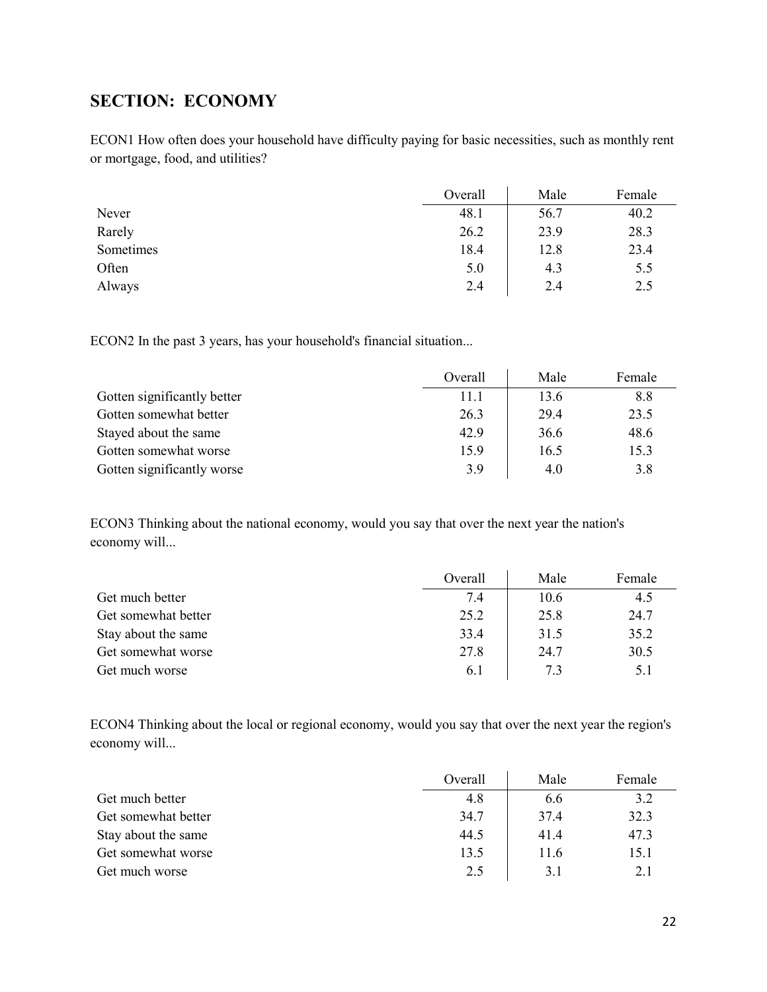## <span id="page-21-0"></span>**SECTION: ECONOMY**

ECON1 How often does your household have difficulty paying for basic necessities, such as monthly rent or mortgage, food, and utilities?

|           | Overall | Male | Female |
|-----------|---------|------|--------|
| Never     | 48.1    | 56.7 | 40.2   |
| Rarely    | 26.2    | 23.9 | 28.3   |
| Sometimes | 18.4    | 12.8 | 23.4   |
| Often     | 5.0     | 4.3  | 5.5    |
| Always    | 2.4     | 2.4  | 2.5    |

ECON2 In the past 3 years, has your household's financial situation...

|                             | Overall | Male | Female |
|-----------------------------|---------|------|--------|
| Gotten significantly better | 11.1    | 13.6 | 8.8    |
| Gotten somewhat better      | 26.3    | 29.4 | 23.5   |
| Stayed about the same       | 42.9    | 36.6 | 48.6   |
| Gotten somewhat worse       | 15.9    | 16.5 | 15.3   |
| Gotten significantly worse  | 3.9     | 4.0  | 3.8    |

ECON3 Thinking about the national economy, would you say that over the next year the nation's economy will...

|                     | Overall | Male | Female |
|---------------------|---------|------|--------|
| Get much better     | 7.4     | 10.6 | 4.5    |
| Get somewhat better | 25.2    | 25.8 | 24.7   |
| Stay about the same | 33.4    | 31.5 | 35.2   |
| Get somewhat worse  | 27.8    | 24.7 | 30.5   |
| Get much worse      | 6.1     | 7.3  | 5.1    |

ECON4 Thinking about the local or regional economy, would you say that over the next year the region's economy will...

|                     | Overall | Male | Female |
|---------------------|---------|------|--------|
| Get much better     | 4.8     | 6.6  | 3.2    |
| Get somewhat better | 34.7    | 37.4 | 32.3   |
| Stay about the same | 44.5    | 41.4 | 47.3   |
| Get somewhat worse  | 13.5    | 11.6 | 15.1   |
| Get much worse      | 2.5     | 3.1  | 2.1    |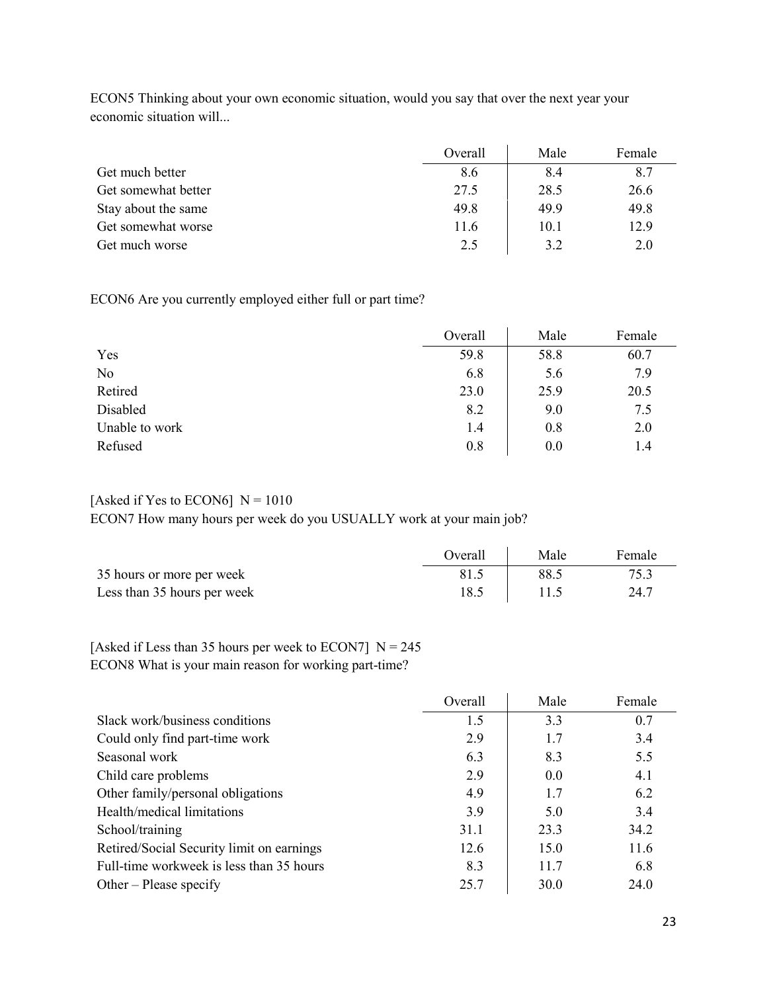|                     | Overall | Male | Female |
|---------------------|---------|------|--------|
| Get much better     | 8.6     | 8.4  | 8.7    |
| Get somewhat better | 27.5    | 28.5 | 26.6   |
| Stay about the same | 49.8    | 49.9 | 49.8   |
| Get somewhat worse  | 11.6    | 10.1 | 12.9   |
| Get much worse      | 2.5     | 3.2  | 2.0    |

ECON5 Thinking about your own economic situation, would you say that over the next year your economic situation will...

ECON6 Are you currently employed either full or part time?

|                | Overall | Male | Female |
|----------------|---------|------|--------|
| Yes            | 59.8    | 58.8 | 60.7   |
| No             | 6.8     | 5.6  | 7.9    |
| Retired        | 23.0    | 25.9 | 20.5   |
| Disabled       | 8.2     | 9.0  | 7.5    |
| Unable to work | 1.4     | 0.8  | 2.0    |
| Refused        | 0.8     | 0.0  | 1.4    |

### [Asked if Yes to ECON6]  $N = 1010$ ECON7 How many hours per week do you USUALLY work at your main job?

|                             | Overall | Male | Female |
|-----------------------------|---------|------|--------|
| 35 hours or more per week   | 81.5    | 88.5 | 75.3   |
| Less than 35 hours per week | 18.5    |      | 24.7   |

### [Asked if Less than 35 hours per week to ECON7]  $N = 245$ ECON8 What is your main reason for working part-time?

|                                           | Overall | Male | Female |
|-------------------------------------------|---------|------|--------|
| Slack work/business conditions            | 1.5     | 3.3  | 0.7    |
| Could only find part-time work            | 2.9     | 1.7  | 3.4    |
| Seasonal work                             | 6.3     | 8.3  | 5.5    |
| Child care problems                       | 2.9     | 0.0  | 4.1    |
| Other family/personal obligations         | 4.9     | 1.7  | 6.2    |
| Health/medical limitations                | 3.9     | 5.0  | 3.4    |
| School/training                           | 31.1    | 23.3 | 34.2   |
| Retired/Social Security limit on earnings | 12.6    | 15.0 | 11.6   |
| Full-time workweek is less than 35 hours  | 8.3     | 11.7 | 6.8    |
| Other – Please specify                    | 25.7    | 30.0 | 24.0   |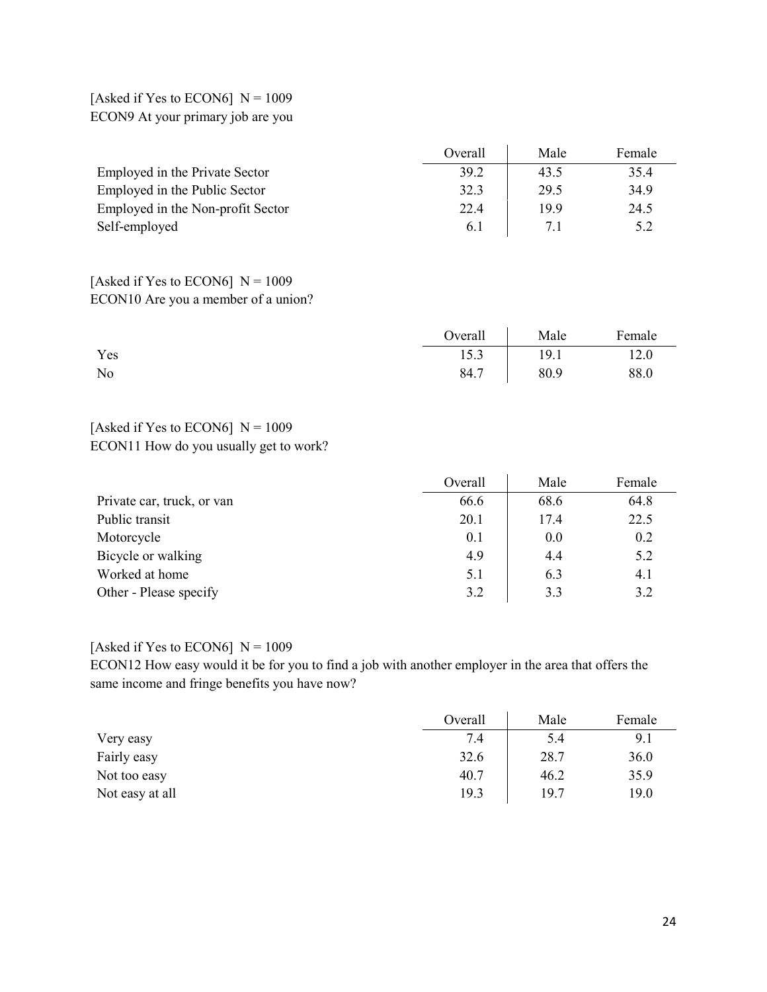### [Asked if Yes to ECON6]  $N = 1009$ ECON9 At your primary job are you

|                                   | Overall | Male | Female |
|-----------------------------------|---------|------|--------|
| Employed in the Private Sector    | 39.2    | 43.5 | 35.4   |
| Employed in the Public Sector     | 32.3    | 29.5 | 34.9   |
| Employed in the Non-profit Sector | 22.4    | 19.9 | 24.5   |
| Self-employed                     | 6.1     |      | 5.2    |

### [Asked if Yes to ECON6]  $N = 1009$ ECON10 Are you a member of a union?

|     | Overall | Male | Female |
|-----|---------|------|--------|
| Yes | 15.3    | 19.1 | 12.0   |
| No  | 84.7    | 80.9 | 88.0   |

### [Asked if Yes to ECON6]  $N = 1009$ ECON11 How do you usually get to work?

|                            | Overall | Male | Female |
|----------------------------|---------|------|--------|
| Private car, truck, or van | 66.6    | 68.6 | 64.8   |
| Public transit             | 20.1    | 17.4 | 22.5   |
| Motorcycle                 | 0.1     | 0.0  | 0.2    |
| Bicycle or walking         | 4.9     | 4.4  | 5.2    |
| Worked at home             | 5.1     | 6.3  | 4.1    |
| Other - Please specify     | 3.2     | 3.3  | 3.2    |

#### [Asked if Yes to ECON6]  $N = 1009$

ECON12 How easy would it be for you to find a job with another employer in the area that offers the same income and fringe benefits you have now?

|                 | Overall | Male | Female |
|-----------------|---------|------|--------|
| Very easy       | 7.4     | 5.4  | 9.1    |
| Fairly easy     | 32.6    | 28.7 | 36.0   |
| Not too easy    | 40.7    | 46.2 | 35.9   |
| Not easy at all | 19.3    | 19.7 | 19.0   |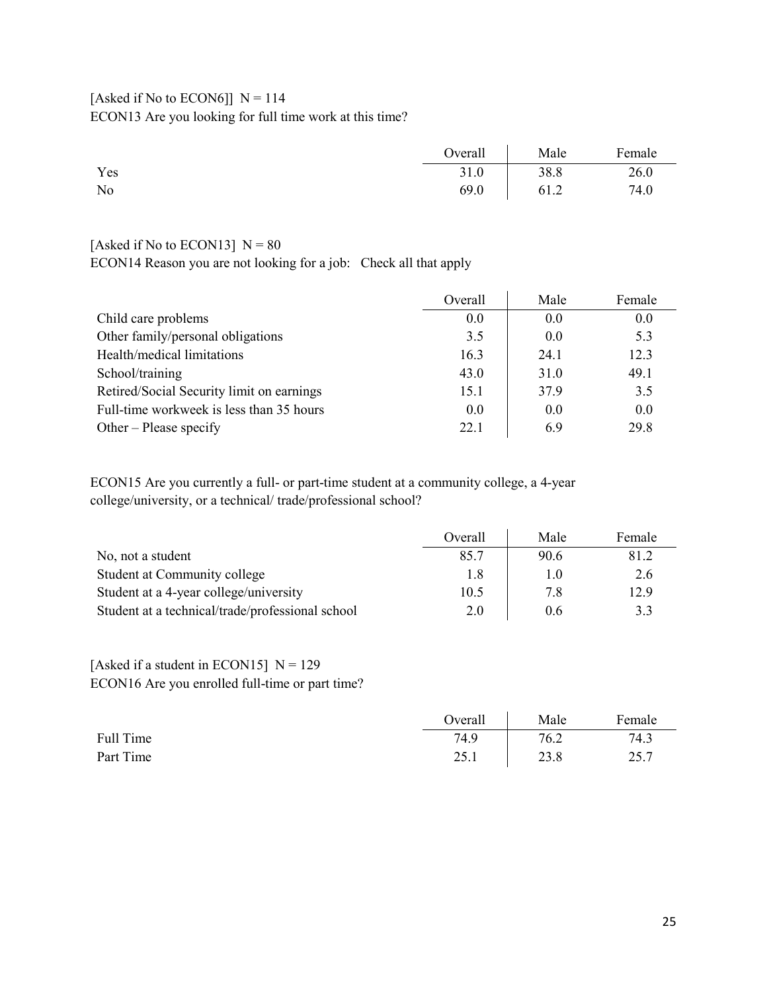## [Asked if No to ECON6]]  $N = 114$ ECON13 Are you looking for full time work at this time?

|     | Overall | Male | Female |
|-----|---------|------|--------|
| Yes | 31.0    | 38.8 | 26.0   |
| No  | 69.0    | 61.2 | 74.0   |

### [Asked if No to ECON13]  $N = 80$

ECON14 Reason you are not looking for a job: Check all that apply

|                                           | Overall | Male | Female |
|-------------------------------------------|---------|------|--------|
| Child care problems                       | 0.0     | 0.0  | 0.0    |
| Other family/personal obligations         | 3.5     | 0.0  | 5.3    |
| Health/medical limitations                | 16.3    | 24.1 | 12.3   |
| School/training                           | 43.0    | 31.0 | 49.1   |
| Retired/Social Security limit on earnings | 15.1    | 37.9 | 3.5    |
| Full-time workweek is less than 35 hours  | 0.0     | 0.0  | 0.0    |
| Other – Please specify                    | 22.1    | 6.9  | 29.8   |

ECON15 Are you currently a full- or part-time student at a community college, a 4-year college/university, or a technical/ trade/professional school?

|                                                  | Overall | Male | Female |
|--------------------------------------------------|---------|------|--------|
| No, not a student                                | 85.7    | 90.6 | 81.2   |
| Student at Community college                     | 1.8     | 1.0  | 2.6    |
| Student at a 4-year college/university           | 10.5    | 7.8  | 12.9   |
| Student at a technical/trade/professional school | 2.0     | 0.6  | 3.3    |

### [Asked if a student in ECON15]  $N = 129$ ECON16 Are you enrolled full-time or part time?

|           | Overall     | Male | Female |
|-----------|-------------|------|--------|
| Full Time | 74.9        | 76.2 | 74.3   |
| Part Time | つく<br>2.0.1 | 23.8 | 25.7   |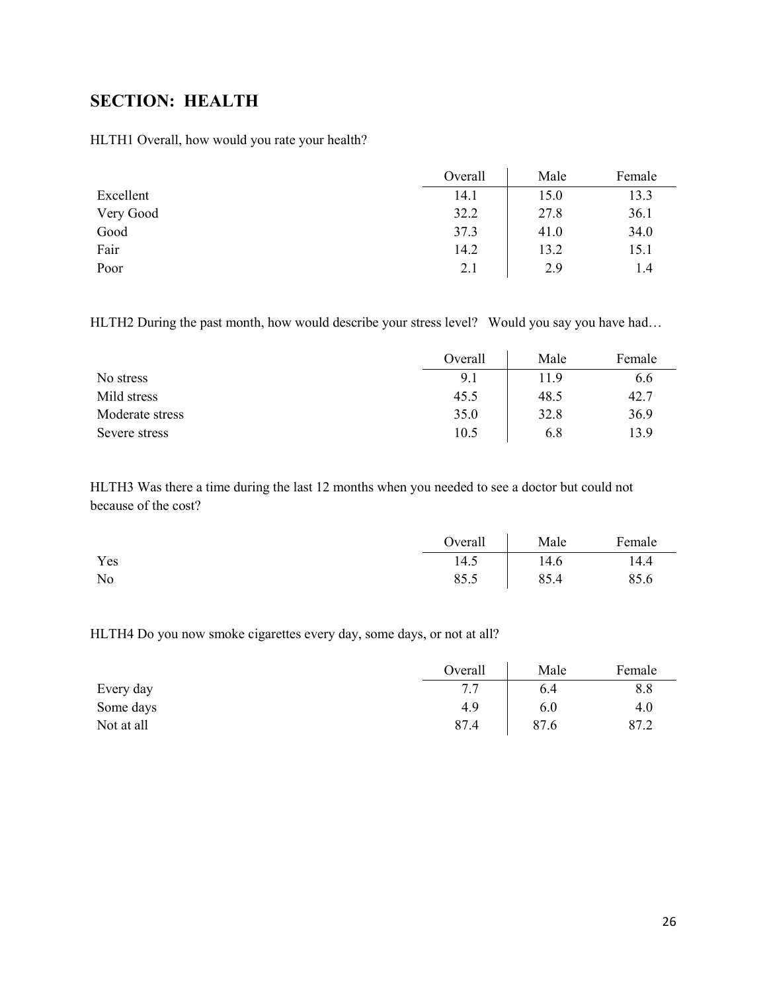## <span id="page-25-0"></span>**SECTION: HEALTH**

HLTH1 Overall, how would you rate your health?

|           | Overall | Male | Female |
|-----------|---------|------|--------|
| Excellent | 14.1    | 15.0 | 13.3   |
| Very Good | 32.2    | 27.8 | 36.1   |
| Good      | 37.3    | 41.0 | 34.0   |
| Fair      | 14.2    | 13.2 | 15.1   |
| Poor      | 2.1     | 2.9  | 1.4    |

HLTH2 During the past month, how would describe your stress level? Would you say you have had...

|                 | Overall | Male | Female |
|-----------------|---------|------|--------|
| No stress       | 9.1     | 11.9 | 6.6    |
| Mild stress     | 45.5    | 48.5 | 42.7   |
| Moderate stress | 35.0    | 32.8 | 36.9   |
| Severe stress   | 10.5    | 6.8  | 13.9   |

HLTH3 Was there a time during the last 12 months when you needed to see a doctor but could not because of the cost?

|     | Overall | Male | Female |
|-----|---------|------|--------|
| Yes | 14.5    | 14.6 | 14.4   |
| No  | 85.5    | 85.4 | 85.6   |

HLTH4 Do you now smoke cigarettes every day, some days, or not at all?

|            | Overall   | Male | Female |
|------------|-----------|------|--------|
| Every day  | 77<br>، . | 6.4  | 8.8    |
| Some days  | 4.9       | 6.0  | 4.0    |
| Not at all | 87.4      | 87.6 | 87.2   |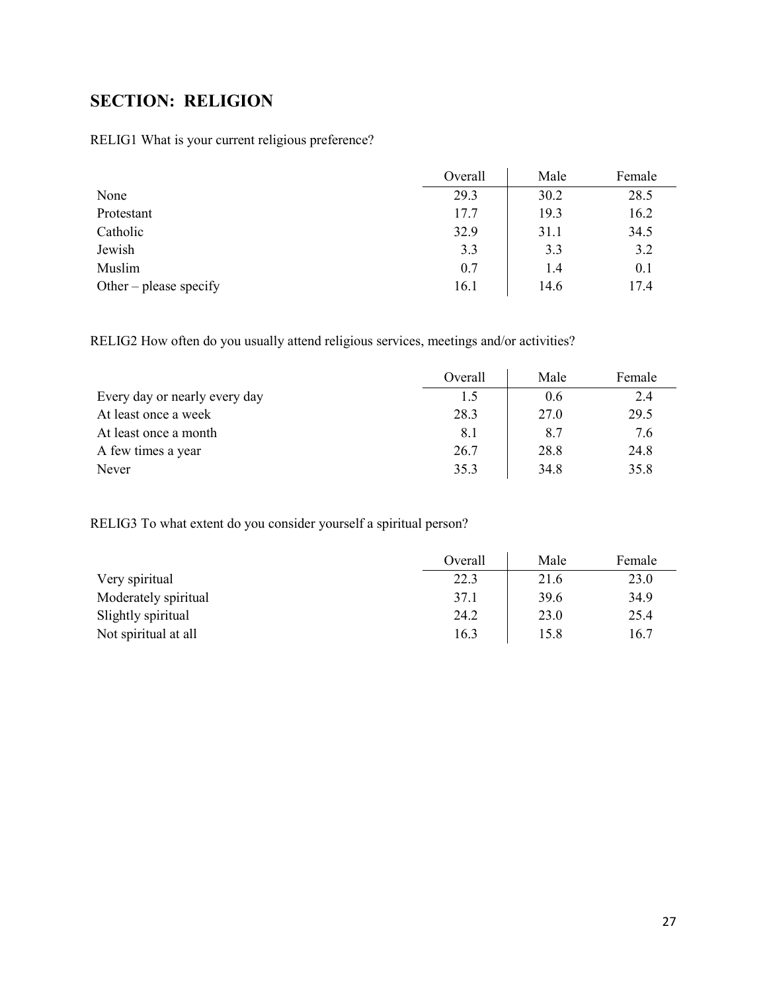# <span id="page-26-0"></span>**SECTION: RELIGION**

RELIG1 What is your current religious preference?

|                        | Overall | Male | Female |
|------------------------|---------|------|--------|
| None                   | 29.3    | 30.2 | 28.5   |
| Protestant             | 17.7    | 19.3 | 16.2   |
| Catholic               | 32.9    | 31.1 | 34.5   |
| Jewish                 | 3.3     | 3.3  | 3.2    |
| Muslim                 | 0.7     | 1.4  | 0.1    |
| Other – please specify | 16.1    | 14.6 | 17.4   |

RELIG2 How often do you usually attend religious services, meetings and/or activities?

|                               | Overall | Male | Female |
|-------------------------------|---------|------|--------|
| Every day or nearly every day | 1.5     | 0.6  | 2.4    |
| At least once a week          | 28.3    | 27.0 | 29.5   |
| At least once a month         | 8.1     | 8.7  | 7.6    |
| A few times a year            | 26.7    | 28.8 | 24.8   |
| Never                         | 35.3    | 34.8 | 35.8   |

RELIG3 To what extent do you consider yourself a spiritual person?

|                      | Overall | Male | Female |
|----------------------|---------|------|--------|
| Very spiritual       | 22.3    | 21.6 | 23.0   |
| Moderately spiritual | 37.1    | 39.6 | 34.9   |
| Slightly spiritual   | 24.2    | 23.0 | 25.4   |
| Not spiritual at all | 16.3    | 15.8 | 16.7   |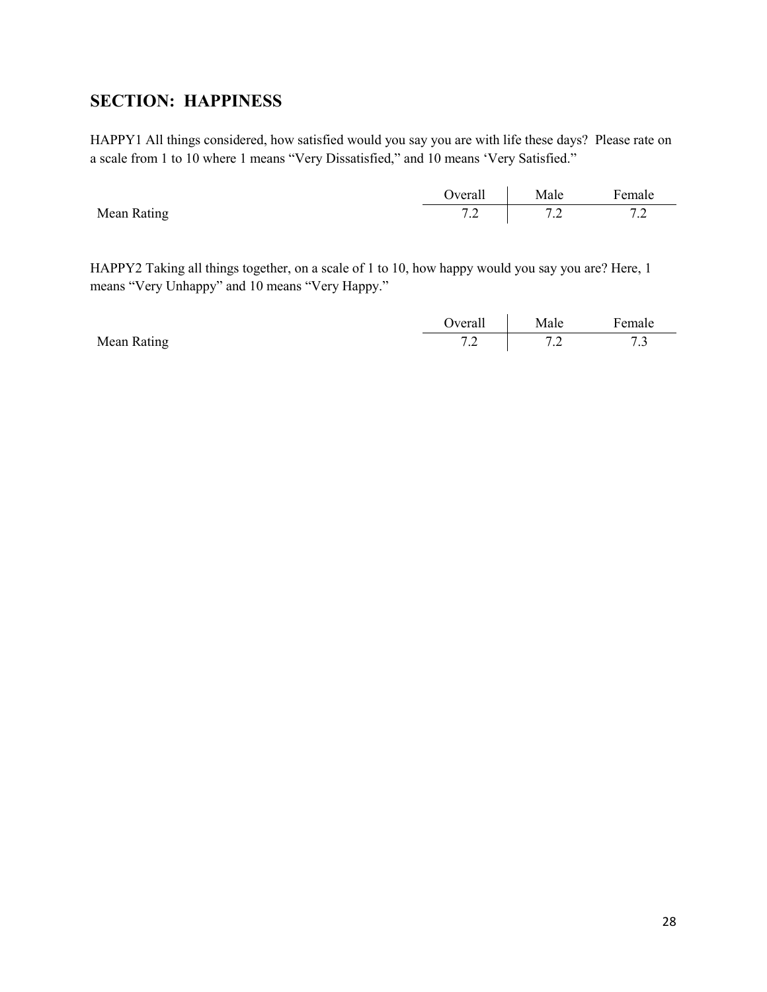## <span id="page-27-0"></span>**SECTION: HAPPINESS**

HAPPY1 All things considered, how satisfied would you say you are with life these days? Please rate on a scale from 1 to 10 where 1 means "Very Dissatisfied," and 10 means 'Very Satisfied."

|             | Jverall       | Male    | Female        |
|-------------|---------------|---------|---------------|
| Mean Rating | $\sim$ $\sim$ | $\cdot$ | $\sim$ $\sim$ |
|             | $\cdot$       |         | $\cdot$       |

HAPPY2 Taking all things together, on a scale of 1 to 10, how happy would you say you are? Here, 1 means "Very Unhappy" and 10 means "Very Happy."

|             | Jverall | Male                     | $\mathbf{r}$<br>Female |
|-------------|---------|--------------------------|------------------------|
| Mean Rating |         | $\overline{\phantom{0}}$ | $ -$                   |
|             | $\cdot$ | $\cdot$                  | ر.,                    |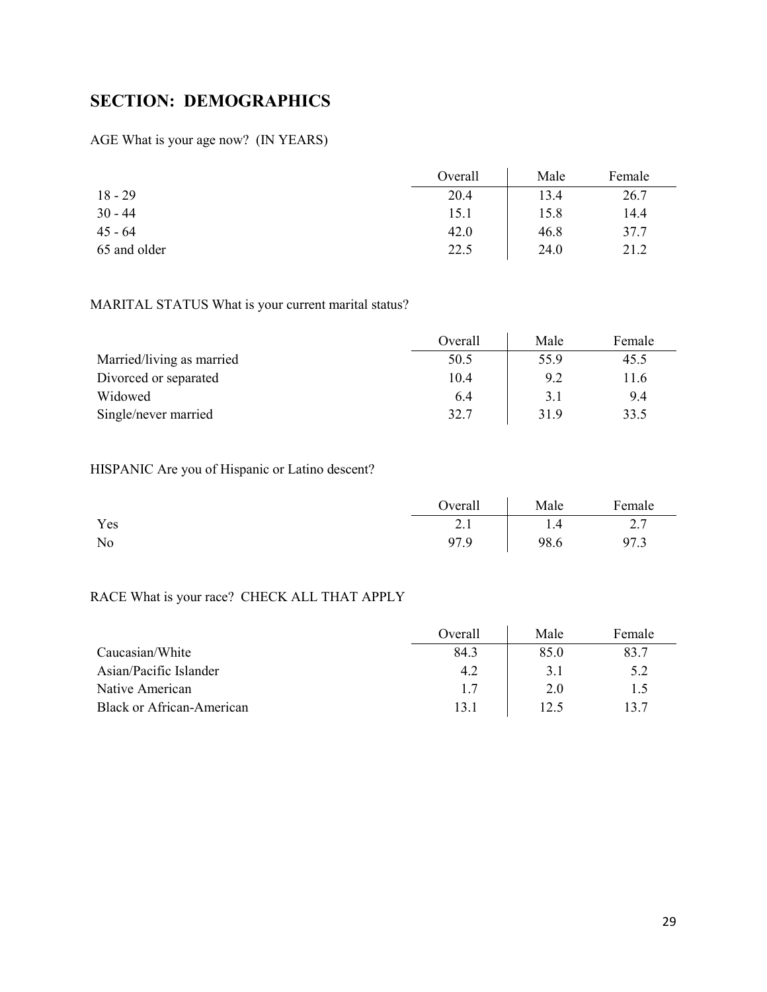## <span id="page-28-0"></span>**SECTION: DEMOGRAPHICS**

AGE What is your age now? (IN YEARS)

|              | Overall | Male | Female |
|--------------|---------|------|--------|
| $18 - 29$    | 20.4    | 13.4 | 26.7   |
| $30 - 44$    | 15.1    | 15.8 | 14.4   |
| $45 - 64$    | 42.0    | 46.8 | 37.7   |
| 65 and older | 22.5    | 24.0 | 21.2   |

### MARITAL STATUS What is your current marital status?

|                           | Overall | Male | Female |
|---------------------------|---------|------|--------|
| Married/living as married | 50.5    | 55.9 | 45.5   |
| Divorced or separated     | 10.4    | 9.2  | l 1.6  |
| Widowed                   | 6.4     | 3.1  | 9.4    |
| Single/never married      | 32.7    | 31.9 | 33.5   |

### HISPANIC Are you of Hispanic or Latino descent?

|     | Overall                        | Male | Female           |
|-----|--------------------------------|------|------------------|
| Yes | $\gamma$ 1<br>$\overline{a}$ . | 1.4  | $\overline{a}$ . |
| No  | 97.9                           | 98.6 | 97.3             |

## RACE What is your race? CHECK ALL THAT APPLY

|                                  | Overall | Male | Female |
|----------------------------------|---------|------|--------|
| Caucasian/White                  | 84.3    | 85.0 | 83.7   |
| Asian/Pacific Islander           | 4.2     | 3.1  | 5.2    |
| Native American                  | 1.7     | 2.0  | 1.5    |
| <b>Black or African-American</b> | 13.1    | 12.5 | 13.7   |